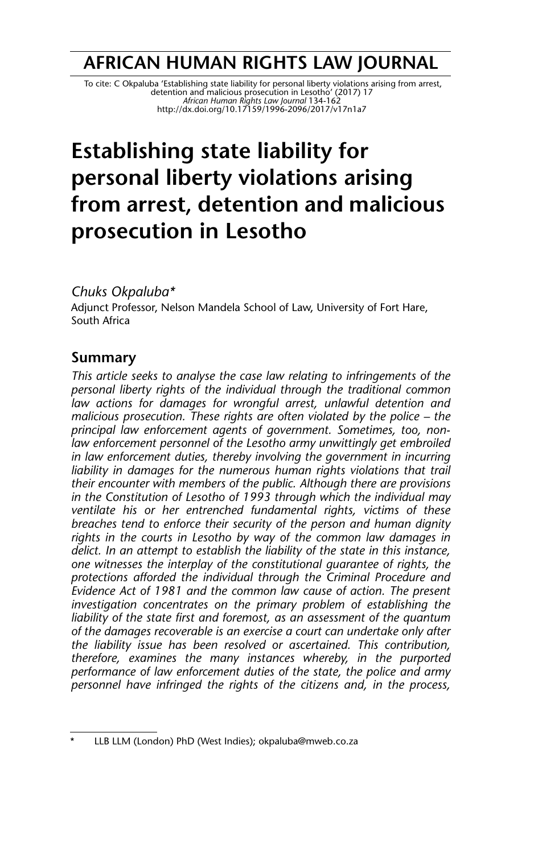## **AFRICAN HUMAN RIGHTS LAW JOURNAL**

To cite: C Okpaluba 'Establishing state liability for personal liberty violations arising from arrest,<br>detention and mallcious prosecution in Lesotho' (2017) 17<br>African Human Rights Law Journal 134-162<br>http://dx.doi.org/10

# **Establishing state liability for personal liberty violations arising from arrest, detention and malicious prosecution in Lesotho**

#### *Chuks Okpaluba\**

Adjunct Professor, Nelson Mandela School of Law, University of Fort Hare, South Africa

## **Summary**

*This article seeks to analyse the case law relating to infringements of the personal liberty rights of the individual through the traditional common law actions for damages for wrongful arrest, unlawful detention and malicious prosecution. These rights are often violated by the police – the principal law enforcement agents of government. Sometimes, too, nonlaw enforcement personnel of the Lesotho army unwittingly get embroiled in law enforcement duties, thereby involving the government in incurring liability in damages for the numerous human rights violations that trail their encounter with members of the public. Although there are provisions in the Constitution of Lesotho of 1993 through which the individual may ventilate his or her entrenched fundamental rights, victims of these breaches tend to enforce their security of the person and human dignity rights in the courts in Lesotho by way of the common law damages in delict. In an attempt to establish the liability of the state in this instance, one witnesses the interplay of the constitutional guarantee of rights, the protections afforded the individual through the Criminal Procedure and Evidence Act of 1981 and the common law cause of action. The present investigation concentrates on the primary problem of establishing the liability of the state first and foremost, as an assessment of the quantum of the damages recoverable is an exercise a court can undertake only after the liability issue has been resolved or ascertained. This contribution, therefore, examines the many instances whereby, in the purported performance of law enforcement duties of the state, the police and army personnel have infringed the rights of the citizens and, in the process,*

LLB LLM (London) PhD (West Indies); okpaluba@mweb.co.za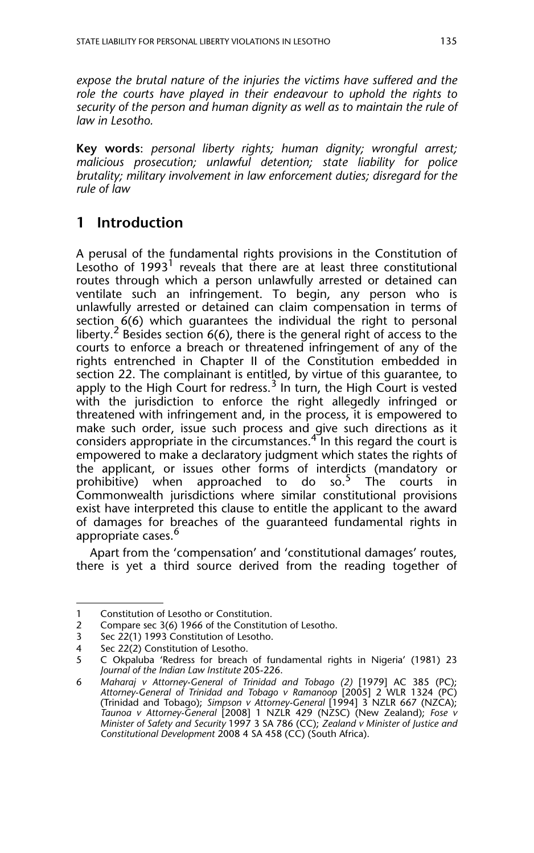*expose the brutal nature of the injuries the victims have suffered and the role the courts have played in their endeavour to uphold the rights to security of the person and human dignity as well as to maintain the rule of law in Lesotho.*

**Key words**: *personal liberty rights; human dignity; wrongful arrest; malicious prosecution; unlawful detention; state liability for police brutality; military involvement in law enforcement duties; disregard for the rule of law*

## **1 Introduction**

A perusal of the fundamental rights provisions in the Constitution of Lesotho of  $1993<sup>1</sup>$  reveals that there are at least three constitutional routes through which a person unlawfully arrested or detained can ventilate such an infringement. To begin, any person who is unlawfully arrested or detained can claim compensation in terms of section  $6(6)$  which quarantees the individual the right to personal liberty.<sup>2</sup> Besides section  $6(6)$ , there is the general right of access to the courts to enforce a breach or threatened infringement of any of the rights entrenched in Chapter II of the Constitution embedded in section 22. The complainant is entitled, by virtue of this guarantee, to apply to the High Court for redress.<sup>3</sup> In turn, the High Court is vested with the jurisdiction to enforce the right allegedly infringed or threatened with infringement and, in the process, it is empowered to make such order, issue such process and give such directions as it considers appropriate in the circumstances.<sup>47</sup> In this regard the court is empowered to make a declaratory judgment which states the rights of the applicant, or issues other forms of interdicts (mandatory or prohibitive) when approached to do so.<sup>5</sup> The courts in prohibitive) when approached to do so.<sup>5</sup> The courts in Commonwealth jurisdictions where similar constitutional provisions exist have interpreted this clause to entitle the applicant to the award of damages for breaches of the guaranteed fundamental rights in appropriate cases.<sup>6</sup>

Apart from the 'compensation' and 'constitutional damages' routes, there is yet a third source derived from the reading together of

<sup>1</sup> Constitution of Lesotho or Constitution.

<sup>2</sup> Compare sec 3(6) 1966 of the Constitution of Lesotho.

<sup>3</sup> Sec 22(1) 1993 Constitution of Lesotho.

<sup>4</sup> Sec 22(2) Constitution of Lesotho.

<sup>5</sup> C Okpaluba 'Redress for breach of fundamental rights in Nigeria' (1981) 23 *Journal of the Indian Law Institute* 205-226.

<sup>6</sup> *Maharaj v Attorney-General of Trinidad and Tobago (2)* [1979] AC 385 (PC); *Attorney-General of Trinidad and Tobago v Ramanoop* [2005] 2 WLR 1324 (PC) (Trinidad and Tobago); *Simpson v Attorney-General* [1994] 3 NZLR 667 (NZCA); *Taunoa v Attorney-General* [2008] 1 NZLR 429 (NZSC) (New Zealand); *Fose v Minister of Safety and Security* 1997 3 SA 786 (CC); *Zealand v Minister of Justice and Constitutional Development* 2008 4 SA 458 (CC) (South Africa).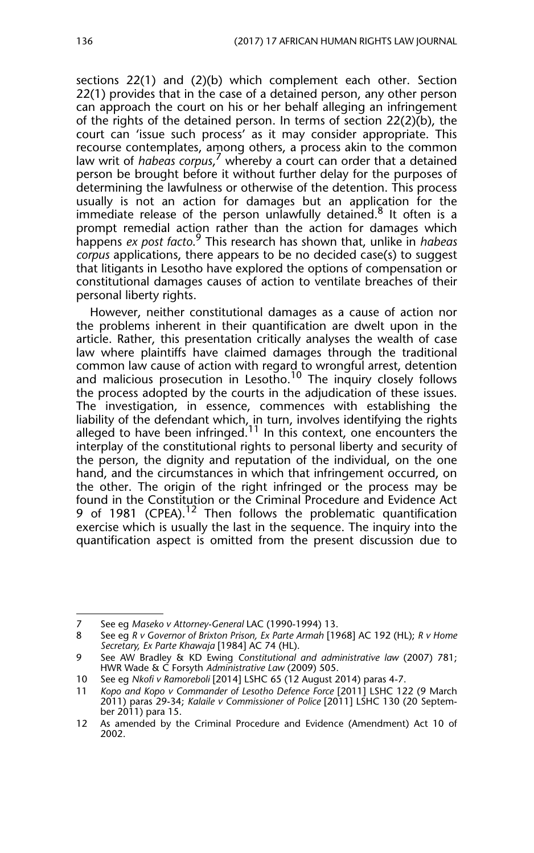sections 22(1) and (2)(b) which complement each other. Section 22(1) provides that in the case of a detained person, any other person can approach the court on his or her behalf alleging an infringement of the rights of the detained person. In terms of section 22(2)(b), the court can 'issue such process' as it may consider appropriate. This recourse contemplates, among others, a process akin to the common law writ of *habeas corpus*, 7 whereby a court can order that a detained person be brought before it without further delay for the purposes of determining the lawfulness or otherwise of the detention. This process usually is not an action for damages but an application for the immediate release of the person unlawfully detained.<sup>8</sup> It often is a prompt remedial action rather than the action for damages which happens *ex post facto*. 9 This research has shown that, unlike in *habeas corpus* applications, there appears to be no decided case(s) to suggest that litigants in Lesotho have explored the options of compensation or constitutional damages causes of action to ventilate breaches of their personal liberty rights.

However, neither constitutional damages as a cause of action nor the problems inherent in their quantification are dwelt upon in the article. Rather, this presentation critically analyses the wealth of case law where plaintiffs have claimed damages through the traditional common law cause of action with regard to wrongful arrest, detention and malicious prosecution in Lesotho.<sup>10</sup> The inquiry closely follows the process adopted by the courts in the adjudication of these issues. The investigation, in essence, commences with establishing the liability of the defendant which, in turn, involves identifying the rights alleged to have been infringed.<sup>11</sup> In this context, one encounters the interplay of the constitutional rights to personal liberty and security of the person, the dignity and reputation of the individual, on the one hand, and the circumstances in which that infringement occurred, on the other. The origin of the right infringed or the process may be found in the Constitution or the Criminal Procedure and Evidence Act 9 of 1981 (CPEA).<sup>12</sup> Then follows the problematic quantification exercise which is usually the last in the sequence. The inquiry into the quantification aspect is omitted from the present discussion due to

<sup>7</sup> See eg *Maseko v Attorney-General* LAC (1990-1994) 13.

<sup>8</sup> See eg *R v Governor of Brixton Prison, Ex Parte Armah* [1968] AC 192 (HL); *R v Home Secretary, Ex Parte Khawaja* [1984] AC 74 (HL).

<sup>9</sup> See AW Bradley & KD Ewing *Constitutional and administrative law* (2007) 781; HWR Wade & C Forsyth *Administrative Law* (2009) 505.

<sup>10</sup> See eg *Nkofi v Ramoreboli* [2014] LSHC 65 (12 August 2014) paras 4-7.

<sup>11</sup> *Kopo and Kopo v Commander of Lesotho Defence Force* [2011] LSHC 122 (9 March 2011) paras 29-34; *Kalaile v Commissioner of Police* [2011] LSHC 130 (20 September 2011) para 15.

<sup>12</sup> As amended by the Criminal Procedure and Evidence (Amendment) Act 10 of 2002.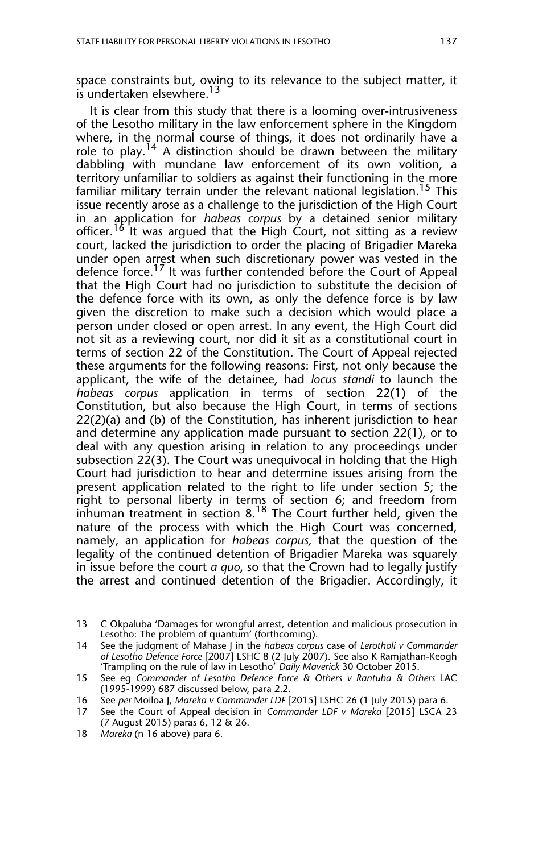space constraints but, owing to its relevance to the subject matter, it is undertaken elsewhere.<sup>13</sup>

It is clear from this study that there is a looming over-intrusiveness of the Lesotho military in the law enforcement sphere in the Kingdom where, in the normal course of things, it does not ordinarily have a role to play.<sup>14</sup> A distinction should be drawn between the military dabbling with mundane law enforcement of its own volition, a territory unfamiliar to soldiers as against their functioning in the more familiar military terrain under the relevant national legislation.<sup>15</sup> This issue recently arose as a challenge to the jurisdiction of the High Court in an application for *habeas corpus* by a detained senior military officer.<sup>16</sup> It was argued that the High Court, not sitting as a review court, lacked the jurisdiction to order the placing of Brigadier Mareka under open arrest when such discretionary power was vested in the defence force.<sup>17</sup> It was further contended before the Court of Appeal that the High Court had no jurisdiction to substitute the decision of the defence force with its own, as only the defence force is by law given the discretion to make such a decision which would place a person under closed or open arrest. In any event, the High Court did not sit as a reviewing court, nor did it sit as a constitutional court in terms of section 22 of the Constitution. The Court of Appeal rejected these arguments for the following reasons: First, not only because the applicant, the wife of the detainee, had *locus standi* to launch the *habeas corpus* application in terms of section 22(1) of the Constitution, but also because the High Court, in terms of sections  $22(2)(a)$  and (b) of the Constitution, has inherent jurisdiction to hear and determine any application made pursuant to section 22(1), or to deal with any question arising in relation to any proceedings under subsection 22(3). The Court was unequivocal in holding that the High Court had jurisdiction to hear and determine issues arising from the present application related to the right to life under section 5; the right to personal liberty in terms of section 6; and freedom from inhuman treatment in section 8.<sup>18</sup> The Court further held, given the nature of the process with which the High Court was concerned, namely, an application for *habeas corpus,* that the question of the legality of the continued detention of Brigadier Mareka was squarely in issue before the court *a quo*, so that the Crown had to legally justify the arrest and continued detention of the Brigadier. Accordingly, it

<sup>13</sup> C Okpaluba 'Damages for wrongful arrest, detention and malicious prosecution in Lesotho: The problem of quantum' (forthcoming).

<sup>14</sup> See the judgment of Mahase J in the *habeas corpus* case of *Lerotholi v Commander of Lesotho Defence Force* [2007] LSHC 8 (2 July 2007). See also K Ramjathan-Keogh 'Trampling on the rule of law in Lesotho' *Daily Maverick* 30 October 2015.

<sup>15</sup> See eg *Commander of Lesotho Defence Force & Others v Rantuba & Others* LAC (1995-1999) 687 discussed below, para 2.2.

<sup>16</sup> See *per* Moiloa J, *Mareka v Commander LDF* [2015] LSHC 26 (1 July 2015) para 6.

<sup>17</sup> See the Court of Appeal decision in *Commander LDF v Mareka* [2015] LSCA 23 (7 August 2015) paras 6, 12 & 26.

<sup>18</sup> *Mareka* (n 16 above) para 6.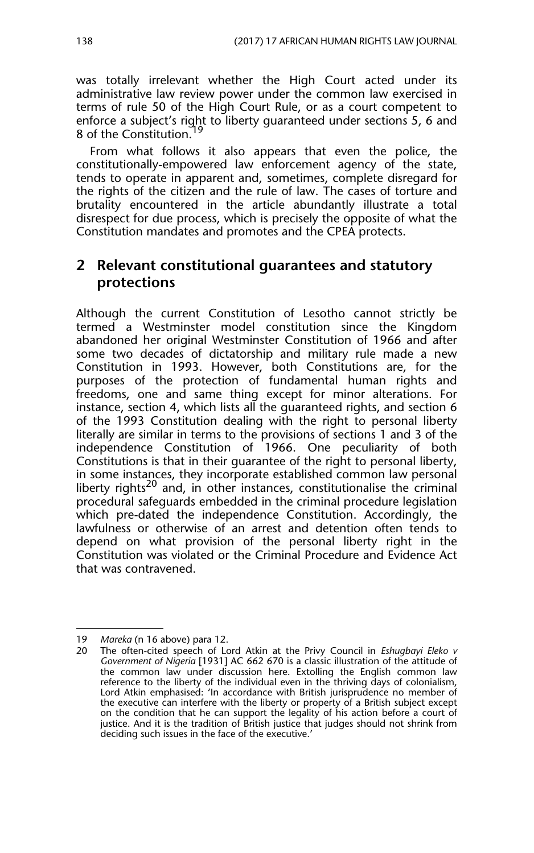was totally irrelevant whether the High Court acted under its administrative law review power under the common law exercised in terms of rule 50 of the High Court Rule, or as a court competent to enforce a subject's right to liberty guaranteed under sections 5, 6 and 8 of the Constitution.<sup>19</sup>

From what follows it also appears that even the police, the constitutionally-empowered law enforcement agency of the state, tends to operate in apparent and, sometimes, complete disregard for the rights of the citizen and the rule of law. The cases of torture and brutality encountered in the article abundantly illustrate a total disrespect for due process, which is precisely the opposite of what the Constitution mandates and promotes and the CPEA protects.

### **2 Relevant constitutional guarantees and statutory protections**

Although the current Constitution of Lesotho cannot strictly be termed a Westminster model constitution since the Kingdom abandoned her original Westminster Constitution of 1966 and after some two decades of dictatorship and military rule made a new Constitution in 1993. However, both Constitutions are, for the purposes of the protection of fundamental human rights and freedoms, one and same thing except for minor alterations. For instance, section 4, which lists all the guaranteed rights, and section 6 of the 1993 Constitution dealing with the right to personal liberty literally are similar in terms to the provisions of sections 1 and 3 of the independence Constitution of 1966. One peculiarity of both Constitutions is that in their guarantee of the right to personal liberty, in some instances, they incorporate established common law personal liberty rights<sup>20</sup> and, in other instances, constitutionalise the criminal procedural safeguards embedded in the criminal procedure legislation which pre-dated the independence Constitution. Accordingly, the lawfulness or otherwise of an arrest and detention often tends to depend on what provision of the personal liberty right in the Constitution was violated or the Criminal Procedure and Evidence Act that was contravened.

<sup>19</sup> *Mareka* (n 16 above) para 12.

<sup>20</sup> The often-cited speech of Lord Atkin at the Privy Council in *Eshugbayi Eleko v Government of Nigeria* [1931] AC 662 670 is a classic illustration of the attitude of the common law under discussion here. Extolling the English common law reference to the liberty of the individual even in the thriving days of colonialism, Lord Atkin emphasised: 'In accordance with British jurisprudence no member of the executive can interfere with the liberty or property of a British subject except on the condition that he can support the legality of his action before a court of justice. And it is the tradition of British justice that judges should not shrink from deciding such issues in the face of the executive.'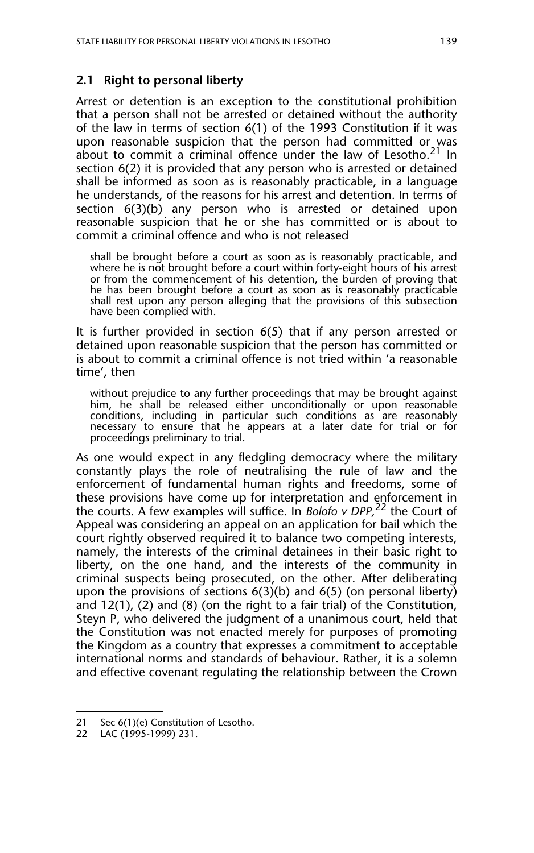#### **2.1 Right to personal liberty**

Arrest or detention is an exception to the constitutional prohibition that a person shall not be arrested or detained without the authority of the law in terms of section 6(1) of the 1993 Constitution if it was upon reasonable suspicion that the person had committed or was about to commit a criminal offence under the law of Lesotho.<sup>21</sup> In section 6(2) it is provided that any person who is arrested or detained shall be informed as soon as is reasonably practicable, in a language he understands, of the reasons for his arrest and detention. In terms of section 6(3)(b) any person who is arrested or detained upon reasonable suspicion that he or she has committed or is about to commit a criminal offence and who is not released

shall be brought before a court as soon as is reasonably practicable, and where he is not brought before a court within forty-eight hours of his arrest or from the commencement of his detention, the burden of proving that he has been brought before a court as soon as is reasonably practicable shall rest upon any person alleging that the provisions of this subsection have been complied with.

It is further provided in section 6(5) that if any person arrested or detained upon reasonable suspicion that the person has committed or is about to commit a criminal offence is not tried within 'a reasonable time', then

without prejudice to any further proceedings that may be brought against him, he shall be released either unconditionally or upon reasonable conditions, including in particular such conditions as are reasonably necessary to ensure that he appears at a later date for trial or for proceedings preliminary to trial.

As one would expect in any fledgling democracy where the military constantly plays the role of neutralising the rule of law and the enforcement of fundamental human rights and freedoms, some of these provisions have come up for interpretation and enforcement in the courts. A few examples will suffice. In *Bolofo v DPP,*22 the Court of Appeal was considering an appeal on an application for bail which the court rightly observed required it to balance two competing interests, namely, the interests of the criminal detainees in their basic right to liberty, on the one hand, and the interests of the community in criminal suspects being prosecuted, on the other. After deliberating upon the provisions of sections 6(3)(b) and 6(5) (on personal liberty) and 12(1), (2) and (8) (on the right to a fair trial) of the Constitution, Steyn P, who delivered the judgment of a unanimous court, held that the Constitution was not enacted merely for purposes of promoting the Kingdom as a country that expresses a commitment to acceptable international norms and standards of behaviour. Rather, it is a solemn and effective covenant regulating the relationship between the Crown

<sup>21</sup> Sec 6(1)(e) Constitution of Lesotho.

<sup>22</sup> LAC (1995-1999) 231.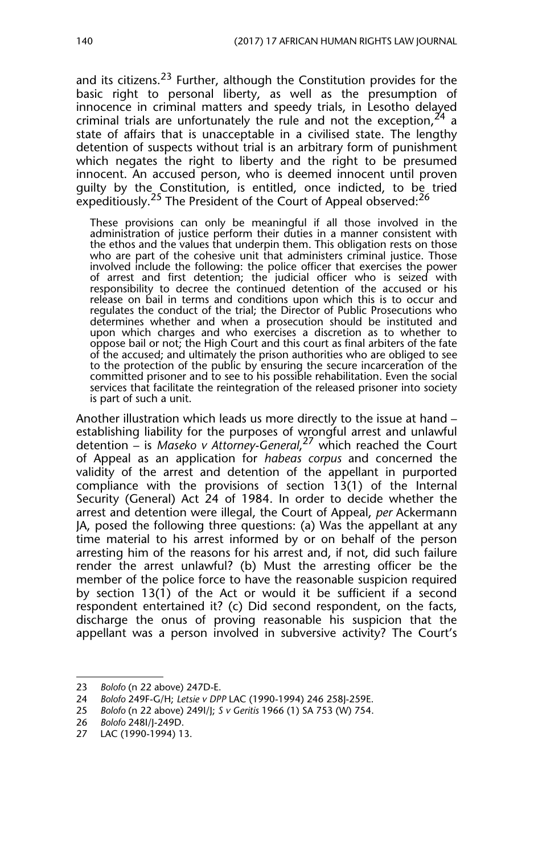and its citizens.<sup>23</sup> Further, although the Constitution provides for the basic right to personal liberty, as well as the presumption of innocence in criminal matters and speedy trials, in Lesotho delayed criminal trials are unfortunately the rule and not the exception,  $24$  a state of affairs that is unacceptable in a civilised state. The lengthy detention of suspects without trial is an arbitrary form of punishment which negates the right to liberty and the right to be presumed innocent. An accused person, who is deemed innocent until proven guilty by the Constitution, is entitled, once indicted, to be tried expeditiously.<sup>25</sup> The President of the Court of Appeal observed:<sup>26</sup>

These provisions can only be meaningful if all those involved in the administration of justice perform their duties in a manner consistent with the ethos and the values that underpin them. This obligation rests on those who are part of the cohesive unit that administers criminal justice. Those involved include the following: the police officer that exercises the power of arrest and first detention; the judicial officer who is seized with responsibility to decree the continued detention of the accused or his release on bail in terms and conditions upon which this is to occur and regulates the conduct of the trial; the Director of Public Prosecutions who determines whether and when a prosecution should be instituted and upon which charges and who exercises a discretion as to whether to oppose bail or not; the High Court and this court as final arbiters of the fate of the accused; and ultimately the prison authorities who are obliged to see to the protection of the public by ensuring the secure incarceration of the committed prisoner and to see to his possible rehabilitation. Even the social services that facilitate the reintegration of the released prisoner into society is part of such a unit.

Another illustration which leads us more directly to the issue at hand – establishing liability for the purposes of wrongful arrest and unlawful detention – is *Maseko v Attorney-General*, 27 which reached the Court of Appeal as an application for *habeas corpus* and concerned the validity of the arrest and detention of the appellant in purported compliance with the provisions of section 13(1) of the Internal Security (General) Act 24 of 1984. In order to decide whether the arrest and detention were illegal, the Court of Appeal, *per* Ackermann JA, posed the following three questions: (a) Was the appellant at any time material to his arrest informed by or on behalf of the person arresting him of the reasons for his arrest and, if not, did such failure render the arrest unlawful? (b) Must the arresting officer be the member of the police force to have the reasonable suspicion required by section 13(1) of the Act or would it be sufficient if a second respondent entertained it? (c) Did second respondent, on the facts, discharge the onus of proving reasonable his suspicion that the appellant was a person involved in subversive activity? The Court's

<sup>23</sup> *Bolofo* (n 22 above) 247D-E.

<sup>24</sup> *Bolofo* 249F-G/H; *Letsie v DPP* LAC (1990-1994) 246 258J-259E.

<sup>25</sup> *Bolofo* (n 22 above) 249I/J; *S v Geritis* 1966 (1) SA 753 (W) 754.

<sup>26</sup> *Bolofo* 248I/J-249D.

<sup>27</sup> LAC (1990-1994) 13.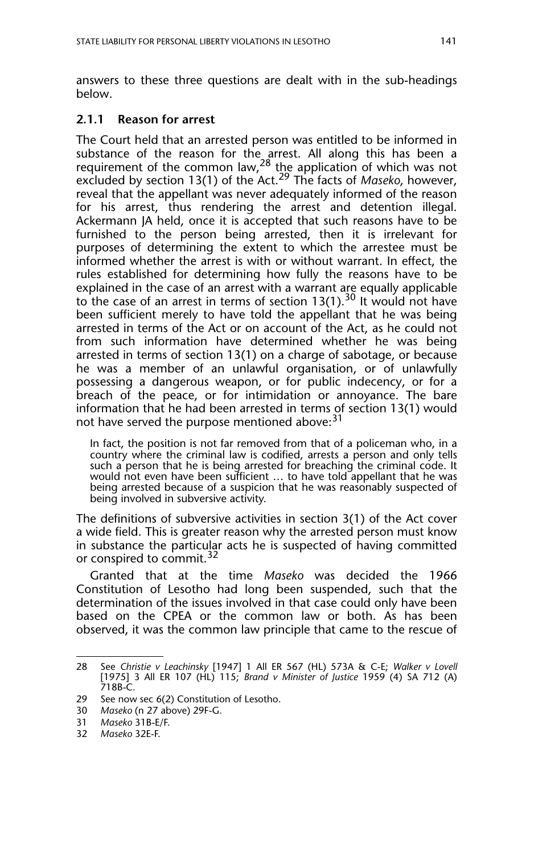answers to these three questions are dealt with in the sub-headings below.

#### **2.1.1 Reason for arrest**

The Court held that an arrested person was entitled to be informed in substance of the reason for the arrest. All along this has been a requirement of the common law,<sup>28</sup> the application of which was not excluded by section 13(1) of the Act.29 The facts of *Maseko*, however, reveal that the appellant was never adequately informed of the reason for his arrest, thus rendering the arrest and detention illegal. Ackermann JA held, once it is accepted that such reasons have to be furnished to the person being arrested, then it is irrelevant for purposes of determining the extent to which the arrestee must be informed whether the arrest is with or without warrant. In effect, the rules established for determining how fully the reasons have to be explained in the case of an arrest with a warrant are equally applicable to the case of an arrest in terms of section  $13(1)$ .<sup>30</sup> It would not have been sufficient merely to have told the appellant that he was being arrested in terms of the Act or on account of the Act, as he could not from such information have determined whether he was being arrested in terms of section 13(1) on a charge of sabotage, or because he was a member of an unlawful organisation, or of unlawfully possessing a dangerous weapon, or for public indecency, or for a breach of the peace, or for intimidation or annoyance. The bare information that he had been arrested in terms of section 13(1) would not have served the purpose mentioned above:<sup>31</sup>

In fact, the position is not far removed from that of a policeman who, in a country where the criminal law is codified, arrests a person and only tells such a person that he is being arrested for breaching the criminal code. It would not even have been sufficient … to have told appellant that he was being arrested because of a suspicion that he was reasonably suspected of being involved in subversive activity.

The definitions of subversive activities in section 3(1) of the Act cover a wide field. This is greater reason why the arrested person must know in substance the particular acts he is suspected of having committed or conspired to commit.<sup>32</sup>

Granted that at the time *Maseko* was decided the 1966 Constitution of Lesotho had long been suspended, such that the determination of the issues involved in that case could only have been based on the CPEA or the common law or both. As has been observed, it was the common law principle that came to the rescue of

<sup>28</sup> See *Christie v Leachinsky* [1947] 1 All ER 567 (HL) 573A & C-E; *Walker v Lovell* [1975] 3 All ER 107 (HL) 115; *Brand v Minister of Justice* 1959 (4) SA 712 (A) 718B-C.

<sup>29</sup> See now sec 6(2) Constitution of Lesotho.<br>30 Maseko (n 27 above) 29F-G.

<sup>30</sup> *Maseko* (n 27 above) 29F-G.

<sup>31</sup> *Maseko* 31B-E/F.

<sup>32</sup> *Maseko* 32E-F.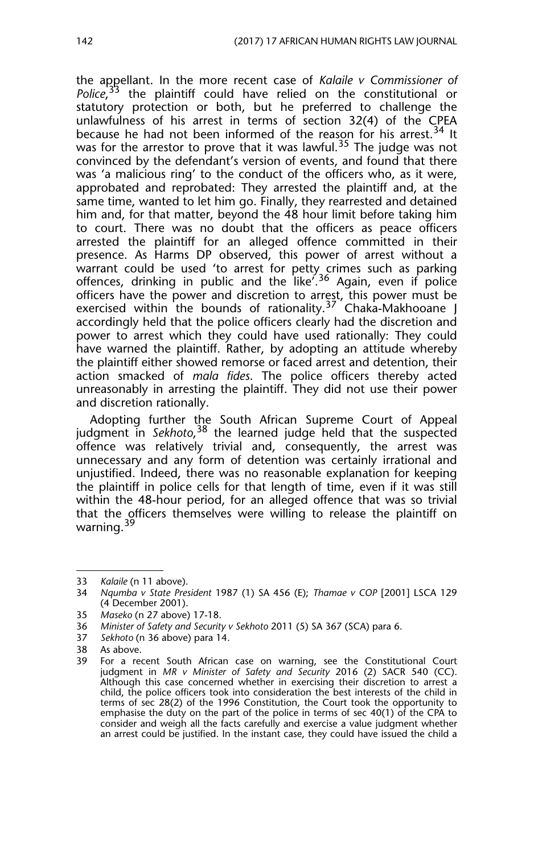the appellant. In the more recent case of *Kalaile v Commissioner of* Police<sup>'</sup>,<sup>33</sup> the plaintiff could have relied on the constitutional or statutory protection or both, but he preferred to challenge the unlawfulness of his arrest in terms of section 32(4) of the CPEA because he had not been informed of the reason for his arrest.<sup>34</sup> It was for the arrestor to prove that it was lawful.<sup>35</sup> The judge was not convinced by the defendant's version of events, and found that there was 'a malicious ring' to the conduct of the officers who, as it were, approbated and reprobated: They arrested the plaintiff and, at the same time, wanted to let him go. Finally, they rearrested and detained him and, for that matter, beyond the 48 hour limit before taking him to court. There was no doubt that the officers as peace officers arrested the plaintiff for an alleged offence committed in their presence. As Harms DP observed, this power of arrest without a warrant could be used 'to arrest for petty crimes such as parking offences, drinking in public and the like<sup>' 36</sup> Again, even if police officers have the power and discretion to arrest, this power must be exercised within the bounds of rationality.<sup>37</sup> Chaka-Makhooane J accordingly held that the police officers clearly had the discretion and power to arrest which they could have used rationally: They could have warned the plaintiff. Rather, by adopting an attitude whereby the plaintiff either showed remorse or faced arrest and detention, their action smacked of *mala fides*. The police officers thereby acted unreasonably in arresting the plaintiff. They did not use their power and discretion rationally.

Adopting further the South African Supreme Court of Appeal judgment in *Sekhoto*, 38 the learned judge held that the suspected offence was relatively trivial and, consequently, the arrest was unnecessary and any form of detention was certainly irrational and unjustified. Indeed, there was no reasonable explanation for keeping the plaintiff in police cells for that length of time, even if it was still within the 48-hour period, for an alleged offence that was so trivial that the officers themselves were willing to release the plaintiff on warning.<sup>39</sup>

<sup>33</sup> *Kalaile* (n 11 above).

<sup>34</sup> *Nqumba v State President* 1987 (1) SA 456 (E); *Thamae v COP* [2001] LSCA 129 (4 December 2001).

<sup>35</sup> *Maseko* (n 27 above) 17-18.

<sup>36</sup> *Minister of Safety and Security v Sekhoto* 2011 (5) SA 367 (SCA) para 6.

<sup>37</sup> *Sekhoto* (n 36 above) para 14.

<sup>38</sup> As above.<br>39 For a rea

For a recent South African case on warning, see the Constitutional Court judgment in *MR v Minister of Safety and Security* 2016 (2) SACR 540 (CC). Although this case concerned whether in exercising their discretion to arrest a child, the police officers took into consideration the best interests of the child in terms of sec 28(2) of the 1996 Constitution, the Court took the opportunity to emphasise the duty on the part of the police in terms of sec 40(1) of the CPA to consider and weigh all the facts carefully and exercise a value judgment whether an arrest could be justified. In the instant case, they could have issued the child a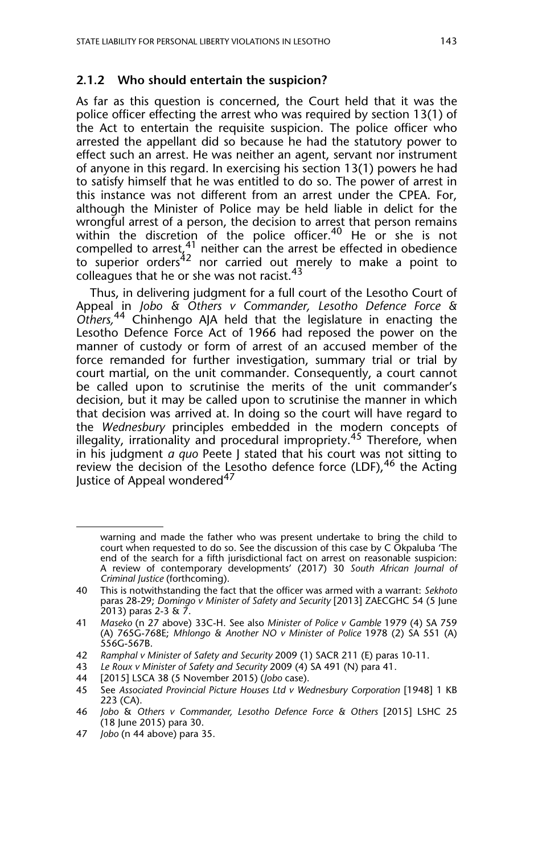#### **2.1.2 Who should entertain the suspicion?**

As far as this question is concerned, the Court held that it was the police officer effecting the arrest who was required by section 13(1) of the Act to entertain the requisite suspicion. The police officer who arrested the appellant did so because he had the statutory power to effect such an arrest. He was neither an agent, servant nor instrument of anyone in this regard. In exercising his section 13(1) powers he had to satisfy himself that he was entitled to do so. The power of arrest in this instance was not different from an arrest under the CPEA. For, although the Minister of Police may be held liable in delict for the wrongful arrest of a person, the decision to arrest that person remains within the discretion of the police officer.<sup>40</sup> He or she is not compelled to arrest,  $4^1$  neither can the arrest be effected in obedience to superior orders<sup>42</sup> nor carried out merely to make a point to colleagues that he or she was not racist.<sup>43</sup>

Thus, in delivering judgment for a full court of the Lesotho Court of Appeal in *Jobo & Others v Commander, Lesotho Defence Force & Others,*44 Chinhengo AJA held that the legislature in enacting the Lesotho Defence Force Act of 1966 had reposed the power on the manner of custody or form of arrest of an accused member of the force remanded for further investigation, summary trial or trial by court martial, on the unit commander. Consequently, a court cannot be called upon to scrutinise the merits of the unit commander's decision, but it may be called upon to scrutinise the manner in which that decision was arrived at. In doing so the court will have regard to the *Wednesbury* principles embedded in the modern concepts of illegality, irrationality and procedural impropriety.<sup>45</sup> Therefore, when in his judgment *a quo* Peete J stated that his court was not sitting to review the decision of the Lesotho defence force (LDF), <sup>46</sup> the Acting Justice of Appeal wondered<sup>47</sup>

47 *Jobo* (n 44 above) para 35.

warning and made the father who was present undertake to bring the child to court when requested to do so. See the discussion of this case by C Okpaluba 'The end of the search for a fifth jurisdictional fact on arrest on reasonable suspicion: A review of contemporary developments' (2017) 30 *South African Journal of Criminal Justice* (forthcoming).

<sup>40</sup> This is notwithstanding the fact that the officer was armed with a warrant: *Sekhoto* paras 28-29; *Domingo v Minister of Safety and Security* [2013] ZAECGHC 54 (5 June 2013) paras 2-3 & 7.

<sup>41</sup> *Maseko* (n 27 above) 33C-H. See also *Minister of Police v Gamble* 1979 (4) SA 759 (A) 765G-768E; *Mhlongo & Another NO v Minister of Police* 1978 (2) SA 551 (A) 556G-567B.

<sup>42</sup> *Ramphal v Minister of Safety and Security* 2009 (1) SACR 211 (E) paras 10-11.

<sup>43</sup> *Le Roux v Minister of Safety and Security* 2009 (4) SA 491 (N) para 41.

<sup>44 [2015]</sup> LSCA 38 (5 November 2015) (*Jobo* case).

<sup>45</sup> See *Associated Provincial Picture Houses Ltd v Wednesbury Corporation* [1948] 1 KB 223 (CA).

<sup>46</sup> *Jobo* & *Others v Commander, Lesotho Defence Force & Others* [2015] LSHC 25 (18 June 2015) para 30.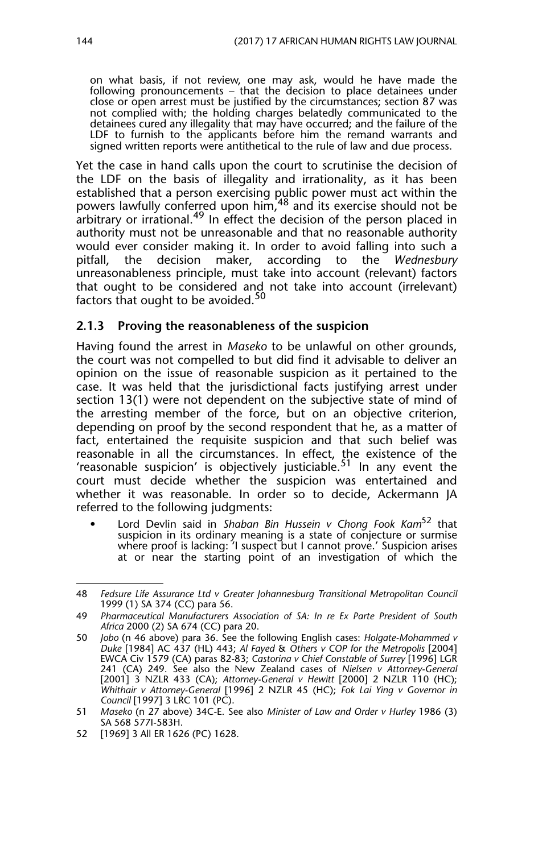on what basis, if not review, one may ask, would he have made the following pronouncements – that the decision to place detainees under close or open arrest must be justified by the circumstances; section 87 was not complied with; the holding charges belatedly communicated to the detainees cured any illegality that may have occurred; and the failure of the LDF to furnish to the applicants before him the remand warrants and signed written reports were antithetical to the rule of law and due process.

Yet the case in hand calls upon the court to scrutinise the decision of the LDF on the basis of illegality and irrationality, as it has been established that a person exercising public power must act within the powers lawfully conferred upon him, <sup>48</sup> and its exercise should not be arbitrary or irrational.<sup>49</sup> In effect the decision of the person placed in authority must not be unreasonable and that no reasonable authority would ever consider making it. In order to avoid falling into such a vertiled in the Wednesbury<br>vitfall. the decision maker. according to the Wednesbury the decision maker, according to the unreasonableness principle, must take into account (relevant) factors that ought to be considered and not take into account (irrelevant) factors that ought to be avoided. $50$ 

#### **2.1.3 Proving the reasonableness of the suspicion**

Having found the arrest in *Maseko* to be unlawful on other grounds, the court was not compelled to but did find it advisable to deliver an opinion on the issue of reasonable suspicion as it pertained to the case. It was held that the jurisdictional facts justifying arrest under section 13(1) were not dependent on the subjective state of mind of the arresting member of the force, but on an objective criterion, depending on proof by the second respondent that he, as a matter of fact, entertained the requisite suspicion and that such belief was reasonable in all the circumstances. In effect, the existence of the 'reasonable suspicion' is objectively justiciable.<sup>51</sup> In any event the court must decide whether the suspicion was entertained and whether it was reasonable. In order so to decide, Ackermann JA referred to the following judgments:

• Lord Devlin said in *Shaban Bin Hussein v Chong Fook Kam*52 that suspicion in its ordinary meaning is a state of conjecture or surmise where proof is lacking: 'I suspect but I cannot prove.' Suspicion arises at or near the starting point of an investigation of which the

<sup>48</sup> *Fedsure Life Assurance Ltd v Greater Johannesburg Transitional Metropolitan Council* 1999 (1) SA 374 (CC) para 56.

<sup>49</sup> *Pharmaceutical Manufacturers Association of SA: In re Ex Parte President of South Africa* 2000 (2) SA 674 (CC) para 20.

<sup>50</sup> *Jobo* (n 46 above) para 36. See the following English cases: *Holgate-Mohammed v Duke* [1984] AC 437 (HL) 443; *Al Fayed* & *Others v COP for the Metropolis* [2004] EWCA Civ 1579 (CA) paras 82-83; *Castorina v Chief Constable of Surrey* [1996] LGR 241 (CA) 249. See also the New Zealand cases of *Nielsen v Attorney-General* [2001] 3 NZLR 433 (CA); *Attorney-General v Hewitt* [2000] 2 NZLR 110 (HC); *Whithair v Attorney-General* [1996] 2 NZLR 45 (HC); *Fok Lai Ying v Governor in Council* [1997] 3 LRC 101 (PC).

<sup>51</sup> *Maseko* (n 27 above) 34C-E. See also *Minister of Law and Order v Hurley* 1986 (3) SA 568 577I-583H.

<sup>52 [1969] 3</sup> All ER 1626 (PC) 1628.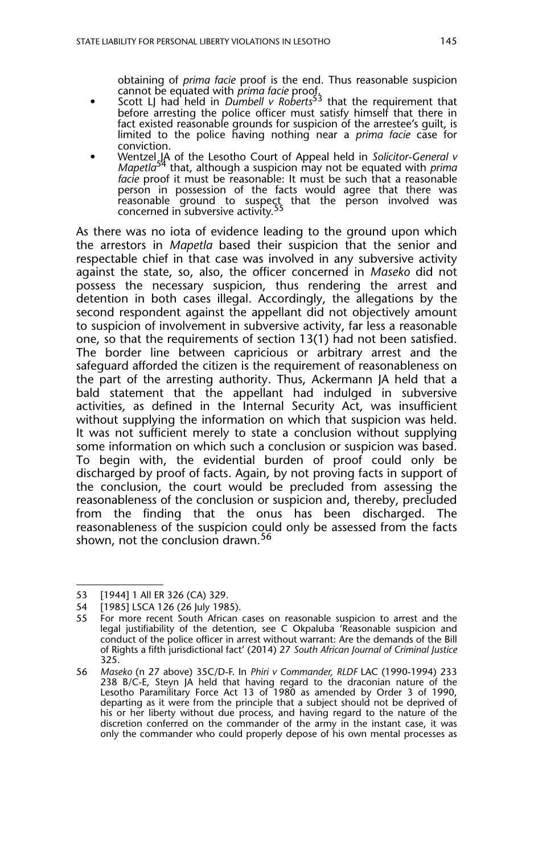obtaining of *prima facie* proof is the end. Thus reasonable suspicion

- cannot be equated with *prima facie* proof. Scott LJ had held in *Dumbell v Roberts*53 that the requirement that before arresting the police officer must satisfy himself that there in fact existed reasonable grounds for suspicion of the arrestee's guilt, is limited to the police having nothing near a *prima facie* case for conviction.
- Wentzel JA of the Lesotho Court of Appeal held in *Solicitor-General v Mapetla*54 that, although a suspicion may not be equated with *prima facie* proof it must be reasonable: It must be such that a reasonable person in possession of the facts would agree that there was reasonable ground to suspect that the person involved was<br>concerned in subversive activity.<sup>55</sup>

As there was no iota of evidence leading to the ground upon which the arrestors in *Mapetla* based their suspicion that the senior and respectable chief in that case was involved in any subversive activity against the state, so, also, the officer concerned in *Maseko* did not possess the necessary suspicion, thus rendering the arrest and detention in both cases illegal. Accordingly, the allegations by the second respondent against the appellant did not objectively amount to suspicion of involvement in subversive activity, far less a reasonable one, so that the requirements of section 13(1) had not been satisfied. The border line between capricious or arbitrary arrest and the safeguard afforded the citizen is the requirement of reasonableness on the part of the arresting authority. Thus, Ackermann JA held that a bald statement that the appellant had indulged in subversive activities, as defined in the Internal Security Act, was insufficient without supplying the information on which that suspicion was held. It was not sufficient merely to state a conclusion without supplying some information on which such a conclusion or suspicion was based. To begin with, the evidential burden of proof could only be discharged by proof of facts. Again, by not proving facts in support of the conclusion, the court would be precluded from assessing the reasonableness of the conclusion or suspicion and, thereby, precluded from the finding that the onus has been discharged. The reasonableness of the suspicion could only be assessed from the facts shown, not the conclusion drawn.<sup>56</sup>

<sup>53 [1944] 1</sup> All ER 326 (CA) 329.

<sup>54 [1985]</sup> LSCA 126 (26 July 1985).

<sup>55</sup> For more recent South African cases on reasonable suspicion to arrest and the legal justifiability of the detention, see C Okpaluba 'Reasonable suspicion and conduct of the police officer in arrest without warrant: Are the demands of the Bill of Rights a fifth jurisdictional fact' (2014) 27 *South African Journal of Criminal Justice* 325.

<sup>56</sup> *Maseko* (n 27 above) 35C/D-F. In *Phiri v Commander, RLDF* LAC (1990-1994) 233 238 B/C-E, Steyn JA held that having regard to the draconian nature of the Lesotho Paramilitary Force Act 13 of 1980 as amended by Order 3 of 1990, departing as it were from the principle that a subject should not be deprived of his or her liberty without due process, and having regard to the nature of the discretion conferred on the commander of the army in the instant case, it was only the commander who could properly depose of his own mental processes as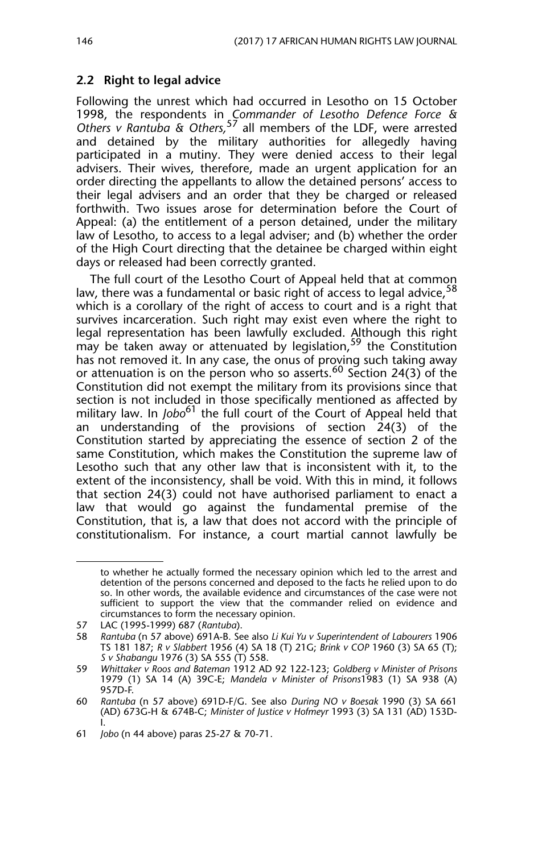#### **2.2 Right to legal advice**

Following the unrest which had occurred in Lesotho on 15 October 1998, the respondents in *Commander of Lesotho Defence Force & Others v Rantuba & Others,*<sup>57</sup> all members of the LDF, were arrested and detained by the military authorities for allegedly having participated in a mutiny. They were denied access to their legal advisers. Their wives, therefore, made an urgent application for an order directing the appellants to allow the detained persons' access to their legal advisers and an order that they be charged or released forthwith. Two issues arose for determination before the Court of Appeal: (a) the entitlement of a person detained, under the military law of Lesotho, to access to a legal adviser; and (b) whether the order of the High Court directing that the detainee be charged within eight days or released had been correctly granted.

The full court of the Lesotho Court of Appeal held that at common law, there was a fundamental or basic right of access to legal advice.<sup>58</sup> which is a corollary of the right of access to court and is a right that survives incarceration. Such right may exist even where the right to legal representation has been lawfully excluded. Although this right may be taken away or attenuated by legislation,  $59$  the Constitution may be taken away or attenuated by legislation,  $59$  the Constitution has not removed it. In any case, the onus of proving such taking away or attenuation is on the person who so asserts.<sup>60</sup> Section 24(3) of the Constitution did not exempt the military from its provisions since that section is not included in those specifically mentioned as affected by military law. In *Jobo*<sup>61</sup> the full court of the Court of Appeal held that an understanding of the provisions of section  $24(3)$  of the Constitution started by appreciating the essence of section 2 of the same Constitution, which makes the Constitution the supreme law of Lesotho such that any other law that is inconsistent with it, to the extent of the inconsistency, shall be void. With this in mind, it follows that section 24(3) could not have authorised parliament to enact a law that would go against the fundamental premise of the Constitution, that is, a law that does not accord with the principle of constitutionalism. For instance, a court martial cannot lawfully be

to whether he actually formed the necessary opinion which led to the arrest and detention of the persons concerned and deposed to the facts he relied upon to do so. In other words, the available evidence and circumstances of the case were not sufficient to support the view that the commander relied on evidence and circumstances to form the necessary opinion.

<sup>57</sup> LAC (1995-1999) 687 (*Rantuba*).

<sup>58</sup> *Rantuba* (n 57 above) 691A-B. See also *Li Kui Yu v Superintendent of Labourers* 1906 TS 181 187; *R v Slabbert* 1956 (4) SA 18 (T) 21G; *Brink v COP* 1960 (3) SA 65 (T); *S v Shabangu* 1976 (3) SA 555 (T) 558.

<sup>59</sup> *Whittaker v Roos and Bateman* 1912 AD 92 122-123; *Goldberg v Minister of Prisons* 1979 (1) SA 14 (A) 39C-E; *Mandela v Minister of Prisons*1983 (1) SA 938 (A) 957D-F.

<sup>60</sup> *Rantuba* (n 57 above) 691D-F/G. See also *During NO v Boesak* 1990 (3) SA 661 (AD) 673G-H & 674B-C; *Minister of Justice v Hofmeyr* 1993 (3) SA 131 (AD) 153D-I.

<sup>61</sup> *Jobo* (n 44 above) paras 25-27 & 70-71.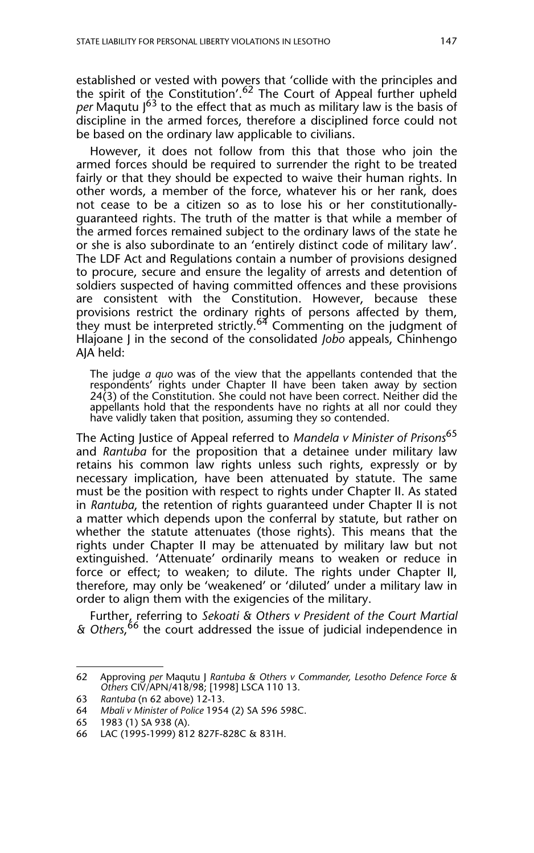established or vested with powers that 'collide with the principles and the spirit of the Constitution'.<sup>62</sup> The Court of Appeal further upheld *per* Maqutu J63 to the effect that as much as military law is the basis of discipline in the armed forces, therefore a disciplined force could not be based on the ordinary law applicable to civilians.

However, it does not follow from this that those who join the armed forces should be required to surrender the right to be treated fairly or that they should be expected to waive their human rights. In other words, a member of the force, whatever his or her rank, does not cease to be a citizen so as to lose his or her constitutionallyguaranteed rights. The truth of the matter is that while a member of the armed forces remained subject to the ordinary laws of the state he or she is also subordinate to an 'entirely distinct code of military law'. The LDF Act and Regulations contain a number of provisions designed to procure, secure and ensure the legality of arrests and detention of soldiers suspected of having committed offences and these provisions are consistent with the Constitution. However, because these provisions restrict the ordinary rights of persons affected by them, they must be interpreted strictly. $^{64}$  Commenting on the judgment of Hlajoane J in the second of the consolidated *Jobo* appeals, Chinhengo AJA held:

The judge *a quo* was of the view that the appellants contended that the respondents' rights under Chapter II have been taken away by section 24(3) of the Constitution. She could not have been correct. Neither did the appellants hold that the respondents have no rights at all nor could they have validly taken that position, assuming they so contended.

The Acting Justice of Appeal referred to *Mandela v Minister of Prisons*<sup>65</sup> and *Rantuba* for the proposition that a detainee under military law retains his common law rights unless such rights, expressly or by necessary implication, have been attenuated by statute. The same must be the position with respect to rights under Chapter II. As stated in *Rantuba*, the retention of rights guaranteed under Chapter II is not a matter which depends upon the conferral by statute, but rather on whether the statute attenuates (those rights). This means that the rights under Chapter II may be attenuated by military law but not extinguished. 'Attenuate' ordinarily means to weaken or reduce in force or effect; to weaken; to dilute. The rights under Chapter II, therefore, may only be 'weakened' or 'diluted' under a military law in order to align them with the exigencies of the military.

Further, referring to *Sekoati & Others v President of the Court Martial & Others*, 66 the court addressed the issue of judicial independence in

<sup>62</sup> Approving *per* Maqutu J *Rantuba & Others v Commander, Lesotho Defence Force & Others* CIV/APN/418/98; [1998] LSCA 110 13.

<sup>63</sup> *Rantuba* (n 62 above) 12-13.

<sup>64</sup> *Mbali v Minister of Police* 1954 (2) SA 596 598C.

<sup>65 1983 (1)</sup> SA 938 (A).

<sup>66</sup> LAC (1995-1999) 812 827F-828C & 831H.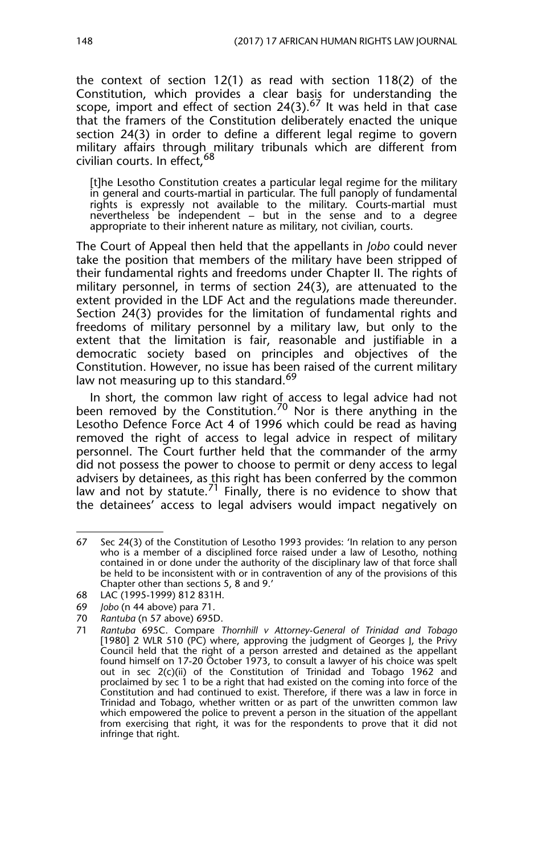the context of section 12(1) as read with section 118(2) of the Constitution, which provides a clear basis for understanding the scope, import and effect of section 24(3).<sup>67</sup> It was held in that case that the framers of the Constitution deliberately enacted the unique section 24(3) in order to define a different legal regime to govern military affairs through military tribunals which are different from civilian courts. In effect.<sup>68</sup>

[t]he Lesotho Constitution creates a particular legal regime for the military in general and courts-martial in particular. The full panoply of fundamental rights is expressly not available to the military. Courts-martial must nevertheless be independent – but in the sense and to a degree appropriate to their inherent nature as military, not civilian, courts.

The Court of Appeal then held that the appellants in *Jobo* could never take the position that members of the military have been stripped of their fundamental rights and freedoms under Chapter II. The rights of military personnel, in terms of section 24(3), are attenuated to the extent provided in the LDF Act and the regulations made thereunder. Section 24(3) provides for the limitation of fundamental rights and freedoms of military personnel by a military law, but only to the extent that the limitation is fair, reasonable and justifiable in a democratic society based on principles and objectives of the Constitution. However, no issue has been raised of the current military law not measuring up to this standard.<sup>69</sup>

In short, the common law right of access to legal advice had not been removed by the Constitution.<sup>70</sup> Nor is there anything in the Lesotho Defence Force Act 4 of 1996 which could be read as having removed the right of access to legal advice in respect of military personnel. The Court further held that the commander of the army did not possess the power to choose to permit or deny access to legal advisers by detainees, as this right has been conferred by the common law and not by statute.<sup>71</sup> Finally, there is no evidence to show that the detainees' access to legal advisers would impact negatively on

- 69 *Jobo* (n 44 above) para 71.
- 70 *Rantuba* (n 57 above) 695D.

<sup>67</sup> Sec 24(3) of the Constitution of Lesotho 1993 provides: 'In relation to any person who is a member of a disciplined force raised under a law of Lesotho, nothing contained in or done under the authority of the disciplinary law of that force shall be held to be inconsistent with or in contravention of any of the provisions of this Chapter other than sections 5, 8 and 9.'

<sup>68</sup> LAC (1995-1999) 812 831H.

<sup>71</sup> *Rantuba* 695C. Compare *Thornhill v Attorney-General of Trinidad and Tobago* [1980] 2 WLR 510 (PC) where, approving the judgment of Georges J, the Privy Council held that the right of a person arrested and detained as the appellant found himself on 17-20 October 1973, to consult a lawyer of his choice was spelt out in sec 2(c)(ii) of the Constitution of Trinidad and Tobago 1962 and proclaimed by sec 1 to be a right that had existed on the coming into force of the Constitution and had continued to exist. Therefore, if there was a law in force in Trinidad and Tobago, whether written or as part of the unwritten common law which empowered the police to prevent a person in the situation of the appellant from exercising that right, it was for the respondents to prove that it did not infringe that right.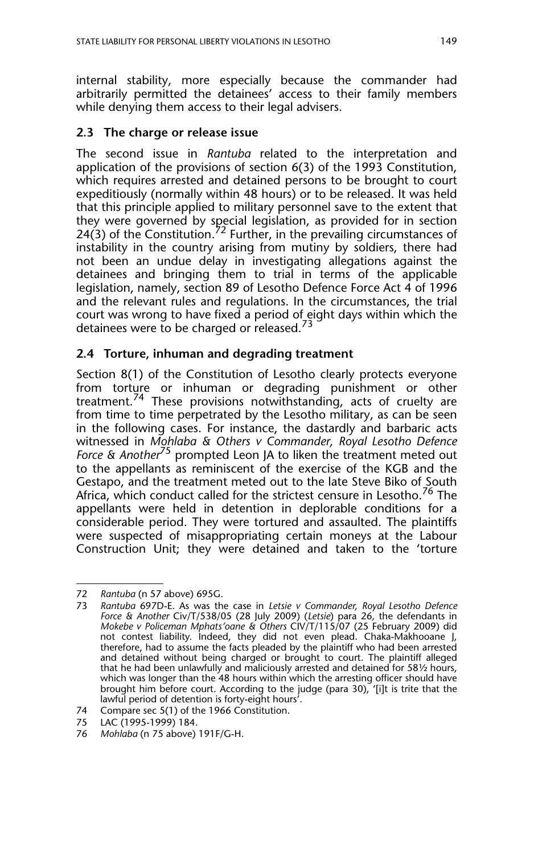internal stability, more especially because the commander had arbitrarily permitted the detainees' access to their family members while denying them access to their legal advisers.

#### **2.3 The charge or release issue**

The second issue in *Rantuba* related to the interpretation and application of the provisions of section 6(3) of the 1993 Constitution, which requires arrested and detained persons to be brought to court expeditiously (normally within 48 hours) or to be released. It was held that this principle applied to military personnel save to the extent that they were governed by special legislation, as provided for in section  $24(3)$  of the Constitution.<sup>72</sup> Further, in the prevailing circumstances of instability in the country arising from mutiny by soldiers, there had not been an undue delay in investigating allegations against the detainees and bringing them to trial in terms of the applicable legislation, namely, section 89 of Lesotho Defence Force Act 4 of 1996 and the relevant rules and regulations. In the circumstances, the trial court was wrong to have fixed a period of eight days within which the detainees were to be charged or released.<sup>73</sup>

#### **2.4 Torture, inhuman and degrading treatment**

Section 8(1) of the Constitution of Lesotho clearly protects everyone from torture or inhuman or degrading punishment or other treatment.74 These provisions notwithstanding, acts of cruelty are from time to time perpetrated by the Lesotho military, as can be seen in the following cases. For instance, the dastardly and barbaric acts witnessed in *Mohlaba & Others v Commander, Royal Lesotho Defence Force & Another*75 prompted Leon JA to liken the treatment meted out to the appellants as reminiscent of the exercise of the KGB and the Gestapo, and the treatment meted out to the late Steve Biko of South Africa, which conduct called for the strictest censure in Lesotho.<sup>76</sup> The appellants were held in detention in deplorable conditions for a considerable period. They were tortured and assaulted. The plaintiffs were suspected of misappropriating certain moneys at the Labour Construction Unit; they were detained and taken to the 'torture

<sup>72</sup> *Rantuba* (n 57 above) 695G.

<sup>73</sup> *Rantuba* 697D-E. As was the case in *Letsie v Commander, Royal Lesotho Defence Force & Another* Civ/T/538/05 (28 July 2009) (*Letsie*) para 26*,* the defendants in *Mokebe v Policeman Mphats'oane & Others* CIV/T/115/07 (25 February 2009) did not contest liability. Indeed, they did not even plead. Chaka-Makhooane J, therefore, had to assume the facts pleaded by the plaintiff who had been arrested and detained without being charged or brought to court. The plaintiff alleged that he had been unlawfully and maliciously arrested and detained for 58½ hours, which was longer than the 48 hours within which the arresting officer should have brought him before court. According to the judge (para 30), '[i]t is trite that the lawful period of detention is forty-eight hours'.

<sup>74</sup> Compare sec 5(1) of the 1966 Constitution.

<sup>75</sup> LAC (1995-1999) 184.

<sup>76</sup> *Mohlaba* (n 75 above) 191F/G-H.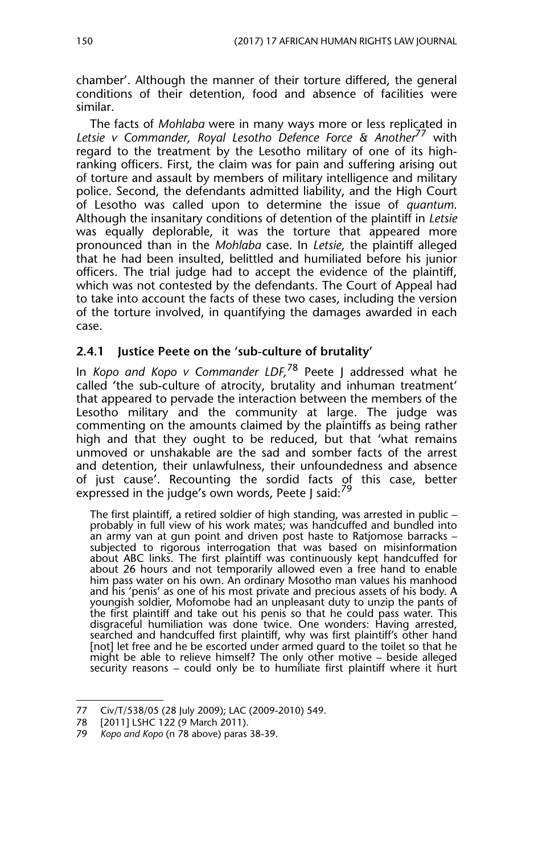chamber'. Although the manner of their torture differed, the general conditions of their detention, food and absence of facilities were similar.

The facts of *Mohlaba* were in many ways more or less replicated in *Letsie v Commander, Royal Lesotho Defence Force & Another*77 with regard to the treatment by the Lesotho military of one of its highranking officers. First, the claim was for pain and suffering arising out of torture and assault by members of military intelligence and military police. Second, the defendants admitted liability, and the High Court of Lesotho was called upon to determine the issue of *quantum*. Although the insanitary conditions of detention of the plaintiff in *Letsie* was equally deplorable, it was the torture that appeared more pronounced than in the *Mohlaba* case. In *Letsie*, the plaintiff alleged that he had been insulted, belittled and humiliated before his junior officers. The trial judge had to accept the evidence of the plaintiff, which was not contested by the defendants. The Court of Appeal had to take into account the facts of these two cases, including the version of the torture involved, in quantifying the damages awarded in each case.

#### **2.4.1 Justice Peete on the 'sub-culture of brutality'**

In *Kopo and Kopo v Commander LDF,*78 Peete J addressed what he called 'the sub-culture of atrocity, brutality and inhuman treatment' that appeared to pervade the interaction between the members of the Lesotho military and the community at large. The judge was commenting on the amounts claimed by the plaintiffs as being rather high and that they ought to be reduced, but that 'what remains unmoved or unshakable are the sad and somber facts of the arrest and detention, their unlawfulness, their unfoundedness and absence of just cause'. Recounting the sordid facts of this case, better expressed in the judge's own words, Peete | said:<sup>79</sup>

The first plaintiff, a retired soldier of high standing, was arrested in public – probably in full view of his work mates; was handcuffed and bundled into an army van at gun point and driven post haste to Ratjomose barracks – subjected to rigorous interrogation that was based on misinformation about ABC links. The first plaintiff was continuously kept handcuffed for about 26 hours and not temporarily allowed even a free hand to enable him pass water on his own. An ordinary Mosotho man values his manhood and his 'penis' as one of his most private and precious assets of his body. A youngish soldier, Mofomobe had an unpleasant duty to unzip the pants of the first plaintiff and take out his penis so that he could pass water. This disgraceful humiliation was done twice. One wonders: Having arrested, searched and handcuffed first plaintiff, why was first plaintiff's other hand [not] let free and he be escorted under armed guard to the toilet so that he might be able to relieve himself? The only other motive – beside alleged security reasons – could only be to humiliate first plaintiff where it hurt

<sup>77</sup> Civ/T/538/05 (28 July 2009); LAC (2009-2010) 549.

<sup>78 [2011]</sup> LSHC 122 (9 March 2011).

<sup>79</sup> *Kopo and Kopo* (n 78 above) paras 38-39.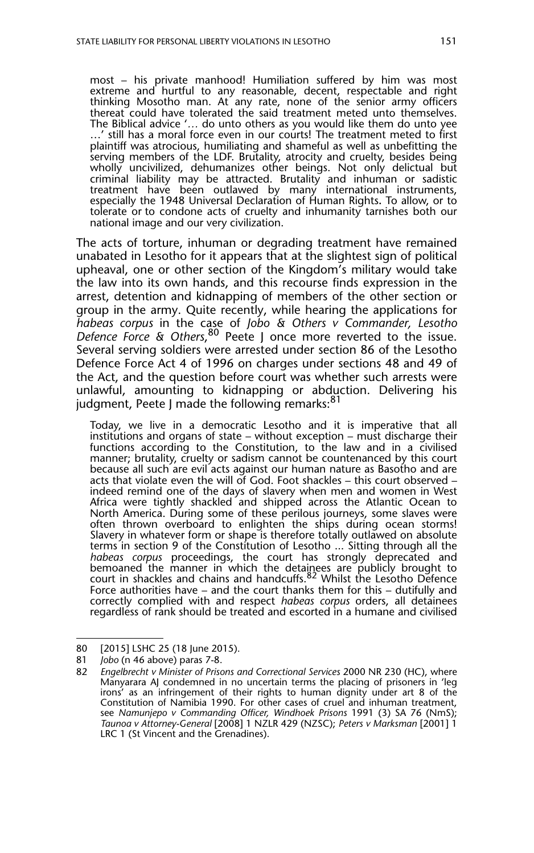most – his private manhood! Humiliation suffered by him was most extreme and hurtful to any reasonable, decent, respectable and right thinking Mosotho man. At any rate, none of the senior army officers thereat could have tolerated the said treatment meted unto themselves. The Biblical advice '*…* do unto others as you would like them do unto yee …' still has a moral force even in our courts! The treatment meted to first plaintiff was atrocious, humiliating and shameful as well as unbefitting the serving members of the LDF. Brutality, atrocity and cruelty, besides being wholly uncivilized, dehumanizes other beings. Not only delictual but criminal liability may be attracted. Brutality and inhuman or sadistic treatment have been outlawed by many international instruments, especially the 1948 Universal Declaration of Human Rights**.** To allow, or to tolerate or to condone acts of cruelty and inhumanity tarnishes both our national image and our very civilization.

The acts of torture, inhuman or degrading treatment have remained unabated in Lesotho for it appears that at the slightest sign of political upheaval, one or other section of the Kingdom's military would take the law into its own hands, and this recourse finds expression in the arrest, detention and kidnapping of members of the other section or group in the army. Quite recently, while hearing the applications for *habeas corpus* in the case of *Jobo & Others v Commander, Lesotho Defence Force & Others*, 80 Peete J once more reverted to the issue. Several serving soldiers were arrested under section 86 of the Lesotho Defence Force Act 4 of 1996 on charges under sections 48 and 49 of the Act, and the question before court was whether such arrests were unlawful, amounting to kidnapping or abduction. Delivering his judgment, Peete J made the following remarks:<sup>81</sup>

Today, we live in a democratic Lesotho and it is imperative that all institutions and organs of state – without exception – must discharge their functions according to the Constitution, to the law and in a civilised manner; brutality, cruelty or sadism cannot be countenanced by this court because all such are evil acts against our human nature as Basotho and are acts that violate even the will of God. Foot shackles – this court observed – indeed remind one of the days of slavery when men and women in West Africa were tightly shackled and shipped across the Atlantic Ocean to North America. During some of these perilous journeys, some slaves were often thrown overboard to enlighten the ships during ocean storms! Slavery in whatever form or shape is therefore totally outlawed on absolute terms in section 9 of the Constitution of Lesotho ... Sitting through all the *habeas corpus* proceedings, the court has strongly deprecated and bemoaned the manner in which the detainees are publicly brought to<br>court in shackles and chains and handcuffs.<sup>82</sup> Whilst the Lesotho Defence Force authorities have – and the court thanks them for this – dutifully and correctly complied with and respect *habeas corpus* orders, all detainees regardless of rank should be treated and escorted in a humane and civilised

<sup>80 [2015]</sup> LSHC 25 (18 June 2015).

<sup>81</sup> *Jobo* (n 46 above) paras 7-8.

<sup>82</sup> *Engelbrecht v Minister of Prisons and Correctional Services* 2000 NR 230 (HC), where Manyarara AJ condemned in no uncertain terms the placing of prisoners in 'leg irons' as an infringement of their rights to human dignity under art 8 of the Constitution of Namibia 1990. For other cases of cruel and inhuman treatment, see *Namunjepo v Commanding Officer, Windhoek Prisons* 1991 (3) SA 76 (NmS); *Taunoa v Attorney-General* [2008] 1 NZLR 429 (NZSC); *Peters v Marksman* [2001] 1 LRC 1 (St Vincent and the Grenadines).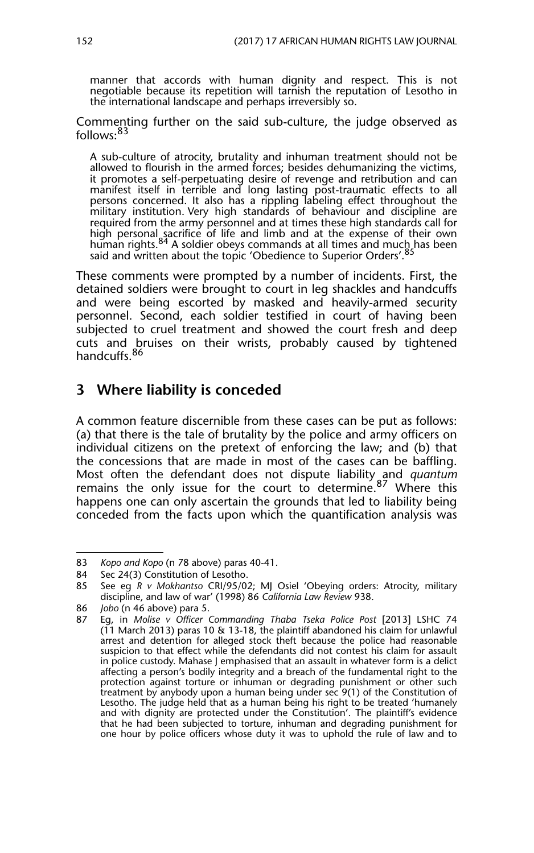manner that accords with human dignity and respect. This is not negotiable because its repetition will tarnish the reputation of Lesotho in the international landscape and perhaps irreversibly so.

Commenting further on the said sub-culture, the judge observed as follows:<sup>83</sup>

A sub-culture of atrocity, brutality and inhuman treatment should not be allowed to flourish in the armed forces; besides dehumanizing the victims, it promotes a self-perpetuating desire of revenge and retribution and can manifest itself in terrible and long lasting post-traumatic effects to all persons concerned. It also has a rippling labeling effect throughout the military institution. Very high standards of behaviour and discipline are required from the army personnel and at times these high standards call for high personal sacrifice of life and limb and at the expense of their own<br>human rights.<sup>84</sup> A soldier obeys commands at all times and much has been said and written about the topic 'Obedience to Superior Orders'.<sup>85</sup>

These comments were prompted by a number of incidents. First, the detained soldiers were brought to court in leg shackles and handcuffs and were being escorted by masked and heavily-armed security personnel. Second, each soldier testified in court of having been subjected to cruel treatment and showed the court fresh and deep cuts and bruises on their wrists, probably caused by tightened handcuffs<sup>86</sup>

## **3 Where liability is conceded**

A common feature discernible from these cases can be put as follows: (a) that there is the tale of brutality by the police and army officers on individual citizens on the pretext of enforcing the law; and (b) that the concessions that are made in most of the cases can be baffling. Most often the defendant does not dispute liability and *quantum* remains the only issue for the court to determine.<sup>87</sup> Where this happens one can only ascertain the grounds that led to liability being conceded from the facts upon which the quantification analysis was

<sup>83</sup> *Kopo and Kopo* (n 78 above) paras 40-41.

<sup>84</sup> Sec 24(3) Constitution of Lesotho.

<sup>85</sup> See eg *R v Mokhantso* CRI/95/02; MJ Osiel 'Obeying orders: Atrocity, military discipline, and law of war' (1998) 86 *California Law Review* 938.

<sup>86</sup> *Jobo* (n 46 above) para 5.

<sup>87</sup> Eg, in *Molise v Officer Commanding Thaba Tseka Police Post* [2013] LSHC 74 (11 March 2013) paras 10 & 13-18, the plaintiff abandoned his claim for unlawful arrest and detention for alleged stock theft because the police had reasonable suspicion to that effect while the defendants did not contest his claim for assault in police custody. Mahase J emphasised that an assault in whatever form is a delict affecting a person's bodily integrity and a breach of the fundamental right to the protection against torture or inhuman or degrading punishment or other such treatment by anybody upon a human being under sec 9(1) of the Constitution of Lesotho. The judge held that as a human being his right to be treated 'humanely and with dignity are protected under the Constitution'. The plaintiff's evidence that he had been subjected to torture, inhuman and degrading punishment for one hour by police officers whose duty it was to uphold the rule of law and to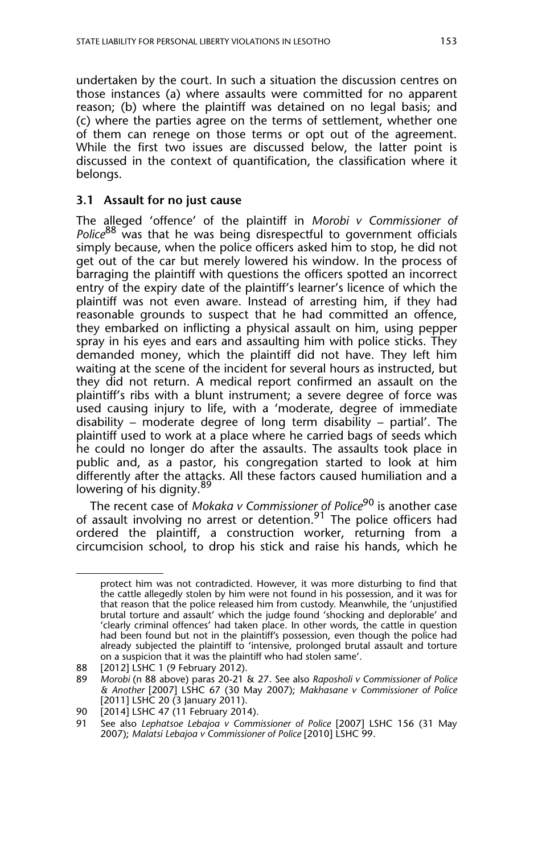undertaken by the court. In such a situation the discussion centres on those instances (a) where assaults were committed for no apparent reason; (b) where the plaintiff was detained on no legal basis; and (c) where the parties agree on the terms of settlement, whether one of them can renege on those terms or opt out of the agreement. While the first two issues are discussed below, the latter point is discussed in the context of quantification, the classification where it belongs.

#### **3.1 Assault for no just cause**

The alleged 'offence' of the plaintiff in *Morobi v Commissioner of Police*<sup>88</sup> was that he was being disrespectful to government officials simply because, when the police officers asked him to stop, he did not get out of the car but merely lowered his window. In the process of barraging the plaintiff with questions the officers spotted an incorrect entry of the expiry date of the plaintiff's learner's licence of which the plaintiff was not even aware. Instead of arresting him, if they had reasonable grounds to suspect that he had committed an offence, they embarked on inflicting a physical assault on him, using pepper spray in his eyes and ears and assaulting him with police sticks. They demanded money, which the plaintiff did not have. They left him waiting at the scene of the incident for several hours as instructed, but they did not return. A medical report confirmed an assault on the plaintiff's ribs with a blunt instrument; a severe degree of force was used causing injury to life, with a 'moderate, degree of immediate disability – moderate degree of long term disability – partial'. The plaintiff used to work at a place where he carried bags of seeds which he could no longer do after the assaults. The assaults took place in public and, as a pastor, his congregation started to look at him differently after the attacks. All these factors caused humiliation and a lowering of his dignity.<sup>89</sup>

The recent case of *Mokaka v Commissioner of Police*<sup>90</sup> is another case of assault involving no arrest or detention.<sup>91</sup> The police officers had ordered the plaintiff, a construction worker, returning from a circumcision school, to drop his stick and raise his hands, which he

protect him was not contradicted. However, it was more disturbing to find that the cattle allegedly stolen by him were not found in his possession, and it was for that reason that the police released him from custody. Meanwhile, the 'unjustified brutal torture and assault' which the judge found 'shocking and deplorable' and 'clearly criminal offences' had taken place. In other words, the cattle in question had been found but not in the plaintiff's possession, even though the police had already subjected the plaintiff to 'intensive, prolonged brutal assault and torture on a suspicion that it was the plaintiff who had stolen same'.

<sup>88 [2012]</sup> LSHC 1 (9 February 2012).<br>89 Morobi (n 88 above) paras 20-21 8

<sup>89</sup> *Morobi* (n 88 above) paras 20-21 & 27. See also *Raposholi v Commissioner of Police & Another* [2007] LSHC 67 (30 May 2007); *Makhasane v Commissioner of Police* [2011] LSHC 20 (3 January 2011).

<sup>90 [2014]</sup> LSHC 47 (11 February 2014).<br>91 See also Lephatsoe Lebajoa y Comm

<sup>91</sup> See also *Lephatsoe Lebajoa v Commissioner of Police* [2007] LSHC 156 (31 May 2007); *Malatsi Lebajoa v Commissioner of Police* [2010] LSHC 99.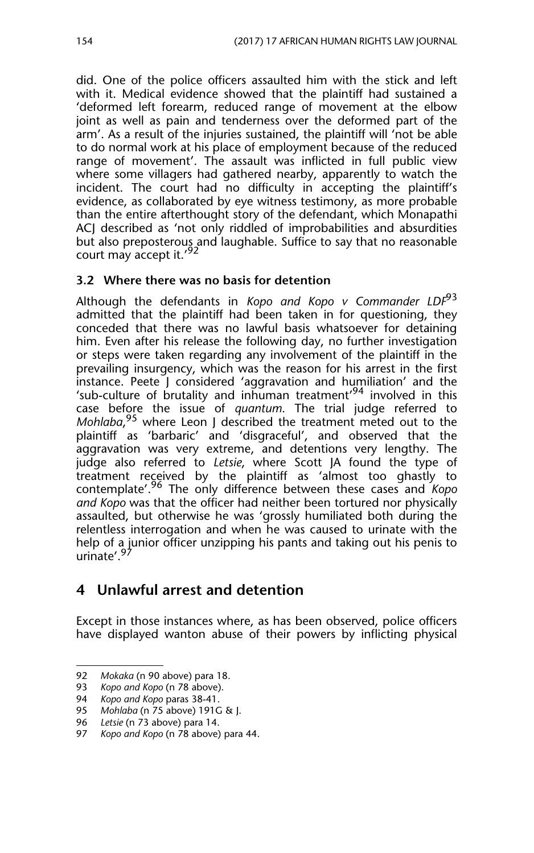did. One of the police officers assaulted him with the stick and left with it. Medical evidence showed that the plaintiff had sustained a 'deformed left forearm, reduced range of movement at the elbow joint as well as pain and tenderness over the deformed part of the arm'. As a result of the injuries sustained, the plaintiff will 'not be able to do normal work at his place of employment because of the reduced range of movement'. The assault was inflicted in full public view where some villagers had gathered nearby, apparently to watch the incident. The court had no difficulty in accepting the plaintiff's evidence, as collaborated by eye witness testimony, as more probable than the entire afterthought story of the defendant, which Monapathi ACJ described as 'not only riddled of improbabilities and absurdities but also preposterous and laughable. Suffice to say that no reasonable court may accept it.'<sup>92</sup>

#### **3.2 Where there was no basis for detention**

Although the defendants in *Kopo and Kopo v Commander LDF*<sup>93</sup> admitted that the plaintiff had been taken in for questioning, they conceded that there was no lawful basis whatsoever for detaining him. Even after his release the following day, no further investigation or steps were taken regarding any involvement of the plaintiff in the prevailing insurgency, which was the reason for his arrest in the first instance. Peete J considered 'aggravation and humiliation' and the 'sub-culture of brutality and inhuman treatment'<sup>94</sup> involved in this case before the issue of *quantum*. The trial judge referred to *Mohlaba*, 95 where Leon J described the treatment meted out to the plaintiff as 'barbaric' and 'disgraceful', and observed that the aggravation was very extreme, and detentions very lengthy. The judge also referred to *Letsie*, where Scott JA found the type of treatment received by the plaintiff as 'almost too ghastly to contemplate'.96 The only difference between these cases and *Kopo and Kopo* was that the officer had neither been tortured nor physically assaulted, but otherwise he was 'grossly humiliated both during the relentless interrogation and when he was caused to urinate with the help of a junior officer unzipping his pants and taking out his penis to urinate'.<sup>9</sup>

## **4 Unlawful arrest and detention**

Except in those instances where, as has been observed, police officers have displayed wanton abuse of their powers by inflicting physical

<sup>92</sup> *Mokaka* (n 90 above) para 18.

<sup>93</sup> *Kopo and Kopo* (n 78 above).

<sup>94</sup> *Kopo and Kopo* paras 38-41. *Mohlaba* (n 75 above) 191G & J.

<sup>96</sup> *Letsie* (n 73 above) para 14.

<sup>97</sup> *Kopo and Kopo* (n 78 above) para 44.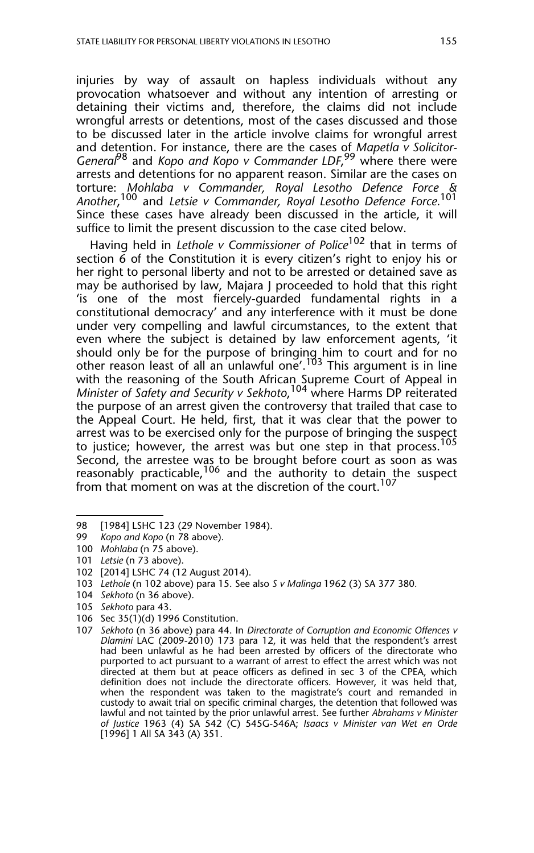injuries by way of assault on hapless individuals without any provocation whatsoever and without any intention of arresting or detaining their victims and, therefore, the claims did not include wrongful arrests or detentions, most of the cases discussed and those to be discussed later in the article involve claims for wrongful arrest and detention. For instance, there are the cases of *Mapetla v Solicitor-General*98 and *Kopo and Kopo v Commander LDF*, 99 where there were arrests and detentions for no apparent reason. Similar are the cases on torture: *Mohlaba v Commander, Royal Lesotho Defence Force & Another*, 100 and *Letsie v Commander, Royal Lesotho Defence Force.*<sup>101</sup> Since these cases have already been discussed in the article, it will suffice to limit the present discussion to the case cited below.

Having held in *Lethole v Commissioner of Police*<sup>102</sup> that in terms of section  $\vec{6}$  of the Constitution it is every citizen's right to enjoy his or her right to personal liberty and not to be arrested or detained save as may be authorised by law, Majara J proceeded to hold that this right 'is one of the most fiercely-guarded fundamental rights in a constitutional democracy' and any interference with it must be done under very compelling and lawful circumstances, to the extent that even where the subject is detained by law enforcement agents, 'it should only be for the purpose of bringing him to court and for no other reason least of all an unlawful one'.<sup>103</sup> This argument is in line with the reasoning of the South African Supreme Court of Appeal in *Minister of Safety and Security v Sekhoto*, <sup>104</sup> where Harms DP reiterated the purpose of an arrest given the controversy that trailed that case to the Appeal Court. He held, first, that it was clear that the power to arrest was to be exercised only for the purpose of bringing the suspect to justice; however, the arrest was but one step in that process.<sup>105</sup> Second, the arrestee was to be brought before court as soon as was reasonably practicable,<sup>106</sup> and the authority to detain the suspect from that moment on was at the discretion of the court.<sup>10</sup>

<sup>98 [1984]</sup> LSHC 123 (29 November 1984).

<sup>99</sup> *Kopo and Kopo* (n 78 above).

<sup>100</sup> *Mohlaba* (n 75 above).

<sup>101</sup> *Letsie* (n 73 above).

<sup>102 [2014]</sup> LSHC 74 (12 August 2014).

<sup>103</sup> *Lethole* (n 102 above) para 15. See also *S v Malinga* 1962 (3) SA 377 380*.*

<sup>104</sup> *Sekhoto* (n 36 above).

<sup>105</sup> *Sekhoto* para 43.

<sup>106</sup> Sec 35(1)(d) 1996 Constitution.

<sup>107</sup> *Sekhoto* (n 36 above) para 44. In *Directorate of Corruption and Economic Offences v Dlamini* LAC (2009-2010) 173 para 12, it was held that the respondent's arrest had been unlawful as he had been arrested by officers of the directorate who purported to act pursuant to a warrant of arrest to effect the arrest which was not directed at them but at peace officers as defined in sec 3 of the CPEA, which definition does not include the directorate officers. However, it was held that, when the respondent was taken to the magistrate's court and remanded in custody to await trial on specific criminal charges, the detention that followed was lawful and not tainted by the prior unlawful arrest. See further *Abrahams v Minister of Justice* 1963 (4) SA 542 (C) 545G-546A; *Isaacs v Minister van Wet en Orde* [1996] 1 All SA 343 (A) 351.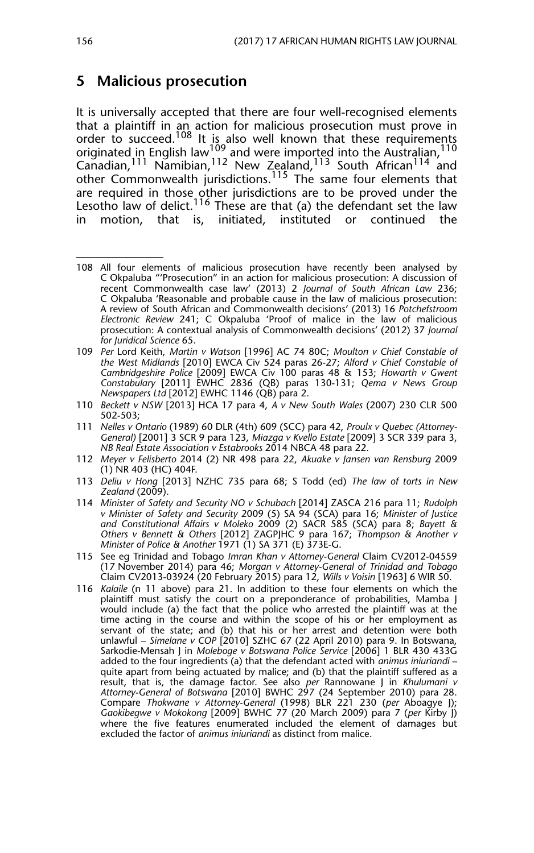#### **5 Malicious prosecution**

It is universally accepted that there are four well-recognised elements that a plaintiff in an action for malicious prosecution must prove in order to succeed.<sup>108</sup> It is also well known that these requirements originated in English law<sup>109</sup> and were imported into the Australian,  $^{110}$ Canadian,<sup>111</sup> Namibian,<sup>112</sup> New Zealand,<sup>113</sup> South African<sup>114</sup> and other Commonwealth jurisdictions.<sup>115</sup> The same four elements that are required in those other jurisdictions are to be proved under the Lesotho law of delict.<sup>116</sup> These are that (a) the defendant set the law in motion, that is, initiated, instituted or continued the

- 114 *Minister of Safety and Security NO v Schubach* [2014] ZASCA 216 para 11; *Rudolph v Minister of Safety and Security* 2009 (5) SA 94 (SCA) para 16; *Minister of Justice and Constitutional Affairs v Moleko* 2009 (2) SACR 585 (SCA) para 8; *Bayett & Others v Bennett & Others* [2012] ZAGPJHC 9 para 167; *Thompson & Another v Minister of Police & Another* 1971 (1) SA 371 (E) 373E-G.
- 115 See eg Trinidad and Tobago *Imran Khan v Attorney-General* Claim CV2012-04559 (17 November 2014) para 46; *Morgan v Attorney-General of Trinidad and Tobago* Claim CV2013-03924 (20 February 2015) para 12, *Wills v Voisin* [1963] 6 WIR 50.
- 116 *Kalaile* (n 11 above) para 21. In addition to these four elements on which the plaintiff must satisfy the court on a preponderance of probabilities, Mamba J would include (a) the fact that the police who arrested the plaintiff was at the time acting in the course and within the scope of his or her employment as servant of the state; and (b) that his or her arrest and detention were both unlawful - Simelane v COP [2010] SZHC 67 (22 April 2010) para 9. In Botswana, Sarkodie-Mensah J in *Moleboge v Botswana Police Service* [2006] 1 BLR 430 433G added to the four ingredients (a) that the defendant acted with *animus iniuriandi* – quite apart from being actuated by malice; and (b) that the plaintiff suffered as a result, that is, the damage factor. See also *per* Rannowane J in *Khulumani v Attorney-General of Botswana* [2010] BWHC 297 (24 September 2010) para 28. Compare *Thokwane v Attorney-General* (1998) BLR 221 230 (*per* Aboagye J); *Gaokibegwe v Mokokong* [2009] BWHC 77 (20 March 2009) para 7 (*per* Kirby J) where the five features enumerated included the element of damages but excluded the factor of *animus iniuriandi* as distinct from malice.

<sup>108</sup> All four elements of malicious prosecution have recently been analysed by C Okpaluba "'Prosecution" in an action for malicious prosecution: A discussion of recent Commonwealth case law' (2013) 2 *Journal of South African Law* 236; C Okpaluba 'Reasonable and probable cause in the law of malicious prosecution: A review of South African and Commonwealth decisions' (2013) 16 *Potchefstroom Electronic Review* 241; C Okpaluba 'Proof of malice in the law of malicious prosecution: A contextual analysis of Commonwealth decisions' (2012) 37 *Journal for Juridical Science* 65.

<sup>109</sup> *Per* Lord Keith, *Martin v Watson* [1996] AC 74 80C; *Moulton v Chief Constable of the West Midlands* [2010] EWCA Civ 524 paras 26-27; *Alford v Chief Constable of Cambridgeshire Police* [2009] EWCA Civ 100 paras 48 & 153; *Howarth v Gwent Constabulary* [2011] EWHC 2836 (QB) paras 130-131; *Qema v News Group Newspapers Ltd* [2012] EWHC 1146 (QB) para 2.

<sup>110</sup> *Beckett v NSW* [2013] HCA 17 para 4, *A v New South Wales* (2007) 230 CLR 500 502-503;

<sup>111</sup> *Nelles v Ontario* (1989) 60 DLR (4th) 609 (SCC) para 42, *Proulx v Quebec (Attorney-General)* [2001] 3 SCR 9 para 123, *Miazga v Kvello Estate* [2009] 3 SCR 339 para 3, *NB Real Estate Association v Estabrooks* 2014 NBCA 48 para 22.

<sup>112</sup> *Meyer v Felisberto* 2014 (2) NR 498 para 22, *Akuake v Jansen van Rensburg* 2009  $(1)$  NR 403 (HC) 404F.

<sup>113</sup> *Deliu v Hong* [2013] NZHC 735 para 68; S Todd (ed) *The law of torts in New Zealand* (2009).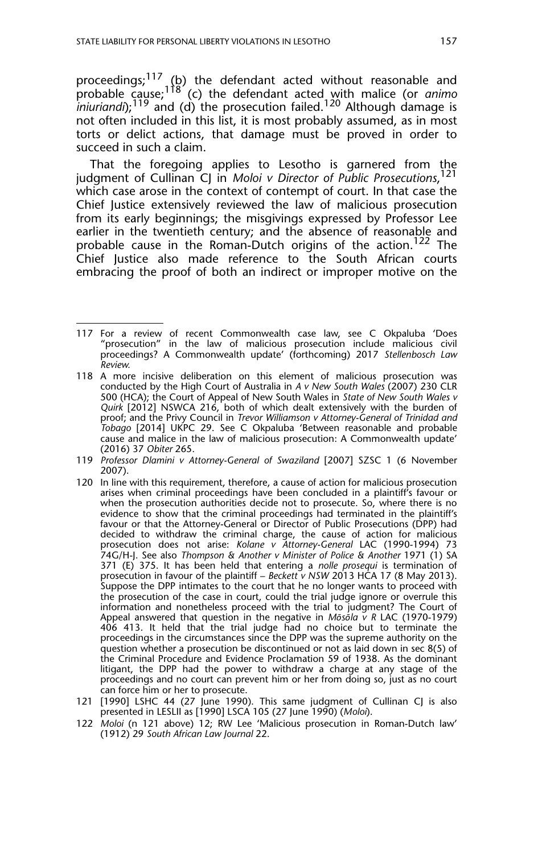proceedings;<sup>117</sup> (b) the defendant acted without reasonable and probable cause;118 (c) the defendant acted with malice (or *animo iniuriandi*);<sup>119</sup> and (d) the prosecution failed.<sup>120</sup> Although damage is not often included in this list, it is most probably assumed, as in most torts or delict actions, that damage must be proved in order to succeed in such a claim.

That the foregoing applies to Lesotho is garnered from the judgment of Cullinan CJ in *Moloi v Director of Public Prosecutions*, 121 which case arose in the context of contempt of court. In that case the Chief Justice extensively reviewed the law of malicious prosecution from its early beginnings; the misgivings expressed by Professor Lee earlier in the twentieth century; and the absence of reasonable and probable cause in the Roman-Dutch origins of the action.<sup>122</sup> The Chief Justice also made reference to the South African courts embracing the proof of both an indirect or improper motive on the

- 120 In line with this requirement, therefore, a cause of action for malicious prosecution arises when criminal proceedings have been concluded in a plaintiff's favour or when the prosecution authorities decide not to prosecute. So, where there is no evidence to show that the criminal proceedings had terminated in the plaintiff's favour or that the Attorney-General or Director of Public Prosecutions (DPP) had decided to withdraw the criminal charge, the cause of action for malicious prosecution does not arise: *Kolane v Attorney-General* LAC (1990-1994) 73 74G/H-J. See also *Thompson & Another v Minister of Police & Another* 1971 (1) SA 371 (E) 375. It has been held that entering a *nolle prosequi* is termination of prosecution in favour of the plaintiff - Beckett v NSW 2013 HCA 17 (8 May 2013). Suppose the DPP intimates to the court that he no longer wants to proceed with the prosecution of the case in court, could the trial judge ignore or overrule this information and nonetheless proceed with the trial to judgment? The Court of Appeal answered that question in the negative in *Mōsōla v R* LAC (1970-1979) 406 413. It held that the trial judge had no choice but to terminate the proceedings in the circumstances since the DPP was the supreme authority on the question whether a prosecution be discontinued or not as laid down in sec 8(5) of the Criminal Procedure and Evidence Proclamation 59 of 1938. As the dominant litigant, the DPP had the power to withdraw a charge at any stage of the proceedings and no court can prevent him or her from doing so, just as no court can force him or her to prosecute.
- 121 [1990] LSHC 44 (27 June 1990). This same judgment of Cullinan CJ is also presented in LESLII as [1990] LSCA 105 (27 June 1990) (*Moloi*).
- 122 *Moloi* (n 121 above) 12; RW Lee 'Malicious prosecution in Roman-Dutch law' (1912) 29 *South African Law Journal* 22.

<sup>117</sup> For a review of recent Commonwealth case law, see C Okpaluba 'Does "prosecution" in the law of malicious prosecution include malicious civil proceedings? A Commonwealth update' (forthcoming) 2017 *Stellenbosch Law Review.*

<sup>118</sup> A more incisive deliberation on this element of malicious prosecution was conducted by the High Court of Australia in *A v New South Wales* (2007) 230 CLR 500 (HCA); the Court of Appeal of New South Wales in *State of New South Wales v Quirk* [2012] NSWCA 216, both of which dealt extensively with the burden of proof; and the Privy Council in *Trevor Williamson v Attorney-General of Trinidad and Tobago* [2014] UKPC 29. See C Okpaluba 'Between reasonable and probable cause and malice in the law of malicious prosecution: A Commonwealth update' (2016) 37 *Obiter* 265.

<sup>119</sup> *Professor Dlamini v Attorney-General of Swaziland* [2007] SZSC 1 (6 November 2007).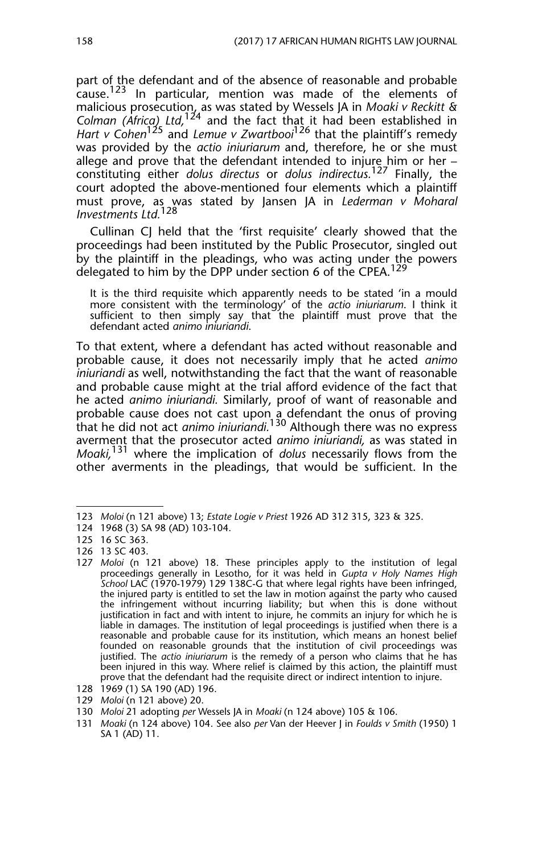part of the defendant and of the absence of reasonable and probable cause.<sup>123</sup> In particular, mention was made of the elements of malicious prosecution, as was stated by Wessels JA in *Moaki v Reckitt & Colman (Africa) Ltd,*124 and the fact that it had been established in *Hart v Cohen*125 and *Lemue v Zwartbooi*126 that the plaintiff's remedy was provided by the *actio iniuriarum* and, therefore, he or she must allege and prove that the defendant intended to injure him or her – constituting either *dolus directus* or *dolus indirectus.*127 Finally, the court adopted the above-mentioned four elements which a plaintiff must prove, as was stated by Jansen JA in *Lederman v Moharal Investments Ltd.*<sup>128</sup>

Cullinan CJ held that the 'first requisite' clearly showed that the proceedings had been instituted by the Public Prosecutor, singled out by the plaintiff in the pleadings, who was acting under the powers delegated to him by the DPP under section 6 of the CPEA.<sup>129</sup>

It is the third requisite which apparently needs to be stated 'in a mould more consistent with the terminology' of the *actio iniuriarum*. I think it sufficient to then simply say that the plaintiff must prove that the defendant acted *animo iniuriandi*.

To that extent, where a defendant has acted without reasonable and probable cause, it does not necessarily imply that he acted *animo iniuriandi* as well, notwithstanding the fact that the want of reasonable and probable cause might at the trial afford evidence of the fact that he acted *animo iniuriandi.* Similarly, proof of want of reasonable and probable cause does not cast upon a defendant the onus of proving that he did not act *animo iniuriandi.*130 Although there was no express averment that the prosecutor acted *animo iniuriandi,* as was stated in *Moaki,*131 where the implication of *dolus* necessarily flows from the other averments in the pleadings, that would be sufficient. In the

<sup>123</sup> *Moloi* (n 121 above) 13; *Estate Logie v Priest* 1926 AD 312 315, 323 & 325.

<sup>124 1968 (3)</sup> SA 98 (AD) 103-104.

<sup>125 16</sup> SC 363.

<sup>126 13</sup> SC 403.

<sup>127</sup> *Moloi* (n 121 above) 18. These principles apply to the institution of legal proceedings generally in Lesotho, for it was held in *Gupta v Holy Names High School* LAC (1970-1979) 129 138C-G that where legal rights have been infringed, the injured party is entitled to set the law in motion against the party who caused the infringement without incurring liability; but when this is done without justification in fact and with intent to injure, he commits an injury for which he is liable in damages. The institution of legal proceedings is justified when there is a reasonable and probable cause for its institution, which means an honest belief founded on reasonable grounds that the institution of civil proceedings was justified. The *actio iniuriarum* is the remedy of a person who claims that he has been injured in this way. Where relief is claimed by this action, the plaintiff must prove that the defendant had the requisite direct or indirect intention to injure.

<sup>128 1969 (1)</sup> SA 190 (AD) 196.

<sup>129</sup> *Moloi* (n 121 above) 20.

<sup>130</sup> *Moloi* 21 adopting *per* Wessels JA in *Moaki* (n 124 above) 105 & 106.

<sup>131</sup> *Moaki* (n 124 above) 104. See also *per* Van der Heever J in *Foulds v Smith* (1950) 1 SA 1 (AD) 11.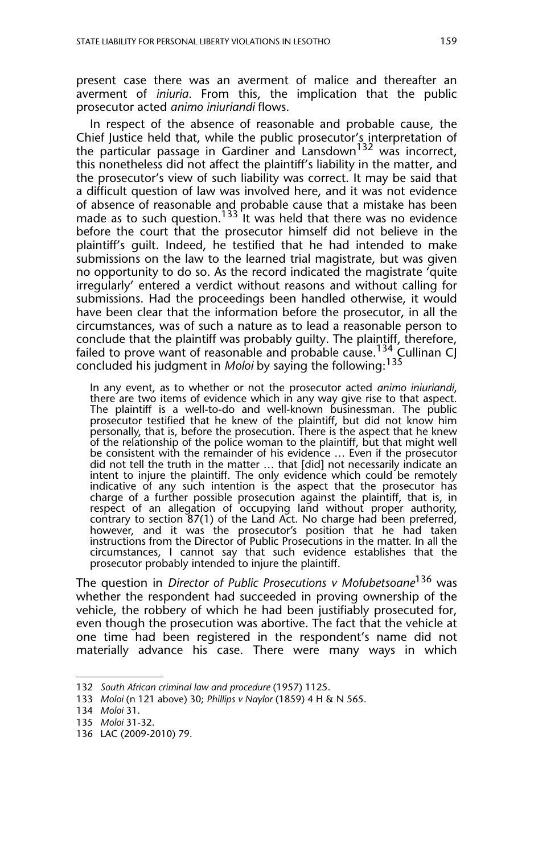present case there was an averment of malice and thereafter an averment of *iniuria*. From this, the implication that the public prosecutor acted *animo iniuriandi* flows.

In respect of the absence of reasonable and probable cause, the Chief Justice held that, while the public prosecutor's interpretation of the particular passage in Gardiner and Lansdown<sup>132</sup> was incorrect, this nonetheless did not affect the plaintiff's liability in the matter, and the prosecutor's view of such liability was correct. It may be said that a difficult question of law was involved here, and it was not evidence of absence of reasonable and probable cause that a mistake has been made as to such question.<sup>133</sup> It was held that there was no evidence before the court that the prosecutor himself did not believe in the plaintiff's guilt. Indeed, he testified that he had intended to make submissions on the law to the learned trial magistrate, but was given no opportunity to do so. As the record indicated the magistrate 'quite irregularly' entered a verdict without reasons and without calling for submissions. Had the proceedings been handled otherwise, it would have been clear that the information before the prosecutor, in all the circumstances, was of such a nature as to lead a reasonable person to conclude that the plaintiff was probably guilty. The plaintiff, therefore, failed to prove want of reasonable and probable cause.<sup>134</sup> Cullinan CJ concluded his judgment in *Moloi* by saying the following:<sup>135</sup>

In any event, as to whether or not the prosecutor acted *animo iniuriandi*, there are two items of evidence which in any way give rise to that aspect. The plaintiff is a well-to-do and well-known businessman. The public prosecutor testified that he knew of the plaintiff, but did not know him personally, that is, before the prosecution. There is the aspect that he knew of the relationship of the police woman to the plaintiff, but that might well be consistent with the remainder of his evidence … Even if the prosecutor did not tell the truth in the matter … that [did] not necessarily indicate an intent to injure the plaintiff. The only evidence which could be remotely indicative of any such intention is the aspect that the prosecutor has charge of a further possible prosecution against the plaintiff, that is, in respect of an allegation of occupying land without proper authority, contrary to section 87(1) of the Land Act. No charge had been preferred, however, and it was the prosecutor's position that he had taken instructions from the Director of Public Prosecutions in the matter. In all the circumstances, I cannot say that such evidence establishes that the prosecutor probably intended to injure the plaintiff.

The question in *Director of Public Prosecutions v Mofubetsoane*136 was whether the respondent had succeeded in proving ownership of the vehicle, the robbery of which he had been justifiably prosecuted for, even though the prosecution was abortive. The fact that the vehicle at one time had been registered in the respondent's name did not materially advance his case. There were many ways in which

<sup>132</sup> *South African criminal law and procedure* (1957) 1125.

<sup>133</sup> *Moloi* (n 121 above) 30; *Phillips v Naylor* (1859) 4 H & N 565.

<sup>134</sup> *Moloi* 31.

<sup>135</sup> *Moloi* 31-32.

<sup>136</sup> LAC (2009-2010) 79.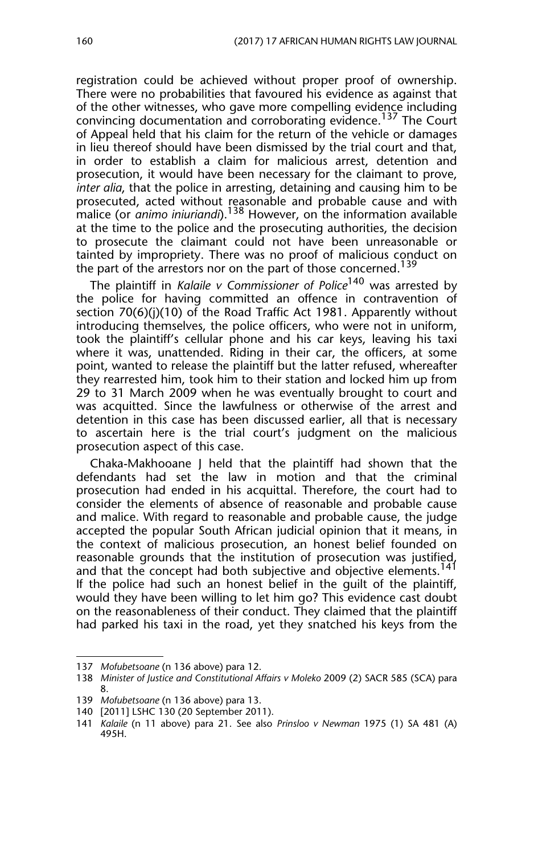registration could be achieved without proper proof of ownership. There were no probabilities that favoured his evidence as against that of the other witnesses, who gave more compelling evidence including convincing documentation and corroborating evidence.<sup>137</sup> The Court of Appeal held that his claim for the return of the vehicle or damages in lieu thereof should have been dismissed by the trial court and that, in order to establish a claim for malicious arrest, detention and prosecution, it would have been necessary for the claimant to prove, *inter alia*, that the police in arresting, detaining and causing him to be prosecuted, acted without reasonable and probable cause and with malice (or *animo iniuriandi*).138 However, on the information available at the time to the police and the prosecuting authorities, the decision to prosecute the claimant could not have been unreasonable or tainted by impropriety. There was no proof of malicious conduct on the part of the arrestors nor on the part of those concerned.<sup>139</sup>

The plaintiff in *Kalaile v Commissioner of Police*140 was arrested by the police for having committed an offence in contravention of section 70(6)(j)(10) of the Road Traffic Act 1981. Apparently without introducing themselves, the police officers, who were not in uniform, took the plaintiff's cellular phone and his car keys, leaving his taxi where it was, unattended. Riding in their car, the officers, at some point, wanted to release the plaintiff but the latter refused, whereafter they rearrested him, took him to their station and locked him up from 29 to 31 March 2009 when he was eventually brought to court and was acquitted. Since the lawfulness or otherwise of the arrest and detention in this case has been discussed earlier, all that is necessary to ascertain here is the trial court's judgment on the malicious prosecution aspect of this case.

Chaka-Makhooane J held that the plaintiff had shown that the defendants had set the law in motion and that the criminal prosecution had ended in his acquittal. Therefore, the court had to consider the elements of absence of reasonable and probable cause and malice. With regard to reasonable and probable cause, the judge accepted the popular South African judicial opinion that it means, in the context of malicious prosecution, an honest belief founded on reasonable grounds that the institution of prosecution was justified, and that the concept had both subjective and objective elements.<sup>141</sup> If the police had such an honest belief in the guilt of the plaintiff, would they have been willing to let him go? This evidence cast doubt on the reasonableness of their conduct. They claimed that the plaintiff had parked his taxi in the road, yet they snatched his keys from the

<sup>137</sup> *Mofubetsoane* (n 136 above) para 12.

<sup>138</sup> *Minister of Justice and Constitutional Affairs v Moleko* 2009 (2) SACR 585 (SCA) para 8.

<sup>139</sup> *Mofubetsoane* (n 136 above) para 13.

<sup>140 [2011]</sup> LSHC 130 (20 September 2011).

<sup>141</sup> *Kalaile* (n 11 above) para 21. See also *Prinsloo v Newman* 1975 (1) SA 481 (A) 495H.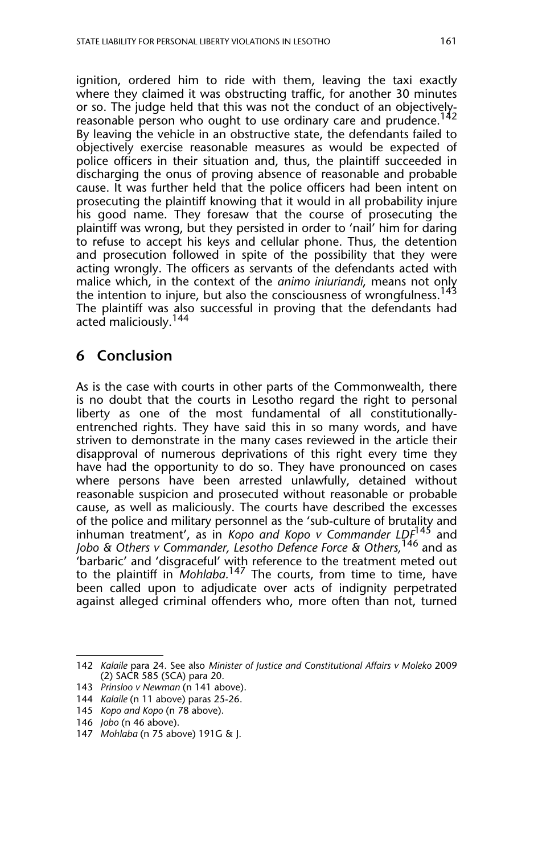ignition, ordered him to ride with them, leaving the taxi exactly where they claimed it was obstructing traffic, for another 30 minutes or so. The judge held that this was not the conduct of an objectivelyreasonable person who ought to use ordinary care and prudence.<sup>142</sup> By leaving the vehicle in an obstructive state, the defendants failed to objectively exercise reasonable measures as would be expected of police officers in their situation and, thus, the plaintiff succeeded in discharging the onus of proving absence of reasonable and probable cause. It was further held that the police officers had been intent on prosecuting the plaintiff knowing that it would in all probability injure his good name. They foresaw that the course of prosecuting the plaintiff was wrong, but they persisted in order to 'nail' him for daring to refuse to accept his keys and cellular phone. Thus, the detention and prosecution followed in spite of the possibility that they were acting wrongly. The officers as servants of the defendants acted with malice which, in the context of the *animo iniuriandi*, means not only the intention to injure, but also the consciousness of wrongfulness.<sup>143</sup> The plaintiff was also successful in proving that the defendants had acted maliciously.<sup>144</sup>

## **6 Conclusion**

As is the case with courts in other parts of the Commonwealth, there is no doubt that the courts in Lesotho regard the right to personal liberty as one of the most fundamental of all constitutionallyentrenched rights. They have said this in so many words, and have striven to demonstrate in the many cases reviewed in the article their disapproval of numerous deprivations of this right every time they have had the opportunity to do so. They have pronounced on cases where persons have been arrested unlawfully, detained without reasonable suspicion and prosecuted without reasonable or probable cause, as well as maliciously. The courts have described the excesses of the police and military personnel as the 'sub-culture of brutality and inhuman treatment', as in *Kopo and Kopo v Commander LDF*<sup>145</sup> and *Jobo & Others v Commander, Lesotho Defence Force & Others,*<sup>146</sup> and as 'barbaric' and 'disgraceful' with reference to the treatment meted out to the plaintiff in *Mohlaba.*147 The courts, from time to time, have been called upon to adjudicate over acts of indignity perpetrated against alleged criminal offenders who, more often than not, turned

<sup>142</sup> *Kalaile* para 24. See also *Minister of Justice and Constitutional Affairs v Moleko* 2009 (2) SACR 585 (SCA) para 20.

<sup>143</sup> *Prinsloo v Newman* (n 141 above).

<sup>144</sup> *Kalaile* (n 11 above) paras 25-26.

<sup>145</sup> *Kopo and Kopo* (n 78 above).

<sup>146</sup> *Jobo* (n 46 above).

<sup>147</sup> *Mohlaba* (n 75 above) 191G & J.